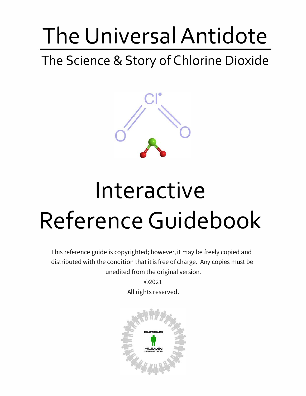## **The Universal Antidote The Science & Story of Chlorine Dioxide**



# **Interactive Reference Guidebook**

This reference guide is copyrighted; however, it may be freely copied and distributed with the condition that it is free of charge. Any copies must be unedited from the original version.

> ©2021 All rights reserved.

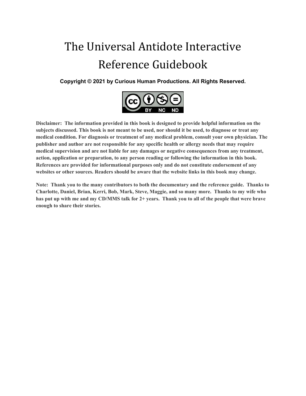## The Universal Antidote Interactive Reference Guidebook

**Copyright © 2021 by Curious Human Productions. All Rights Reserved.**



**Disclaimer: The information provided in this book is designed to provide helpful information on the subjects discussed. This book is not meant to be used, nor should it be used, to diagnose or treat any medical condition. For diagnosis or treatment of any medical problem, consult your own physician. The publisher and author are not responsible for any specific health or allergy needs that may require medical supervision and are not liable for any damages or negative consequences from any treatment, action, application or preparation, to any person reading or following the information in this book. References are provided for informational purposes only and do not constitute endorsement of any websites or other sources. Readers should be aware that the website links in this book may change.** 

**Note: Thank you to the many contributors to both the documentary and the reference guide. Thanks to Charlotte, Daniel, Brian, Kerri, Bob, Mark, Steve, Maggie, and so many more. Thanks to my wife who has put up with me and my CD/MMS talk for 2+ years. Thank you to all of the people that were brave enough to share their stories.**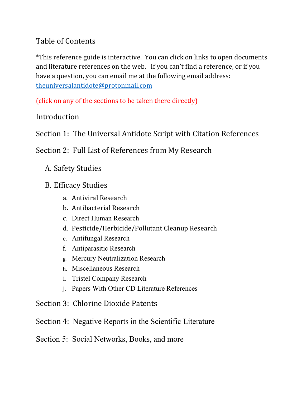## Table of Contents

\*This reference guide is interactive. You can click on links to open documents and literature references on the web. If you can't find a reference, or if you have a question, you can email me at the following email address: [theuniversalantidote@protonmail.com](mailto:theuniversalantidote@protonmail.com)

(click on any of the sections to be taken there directly)

## [Introduction](#page-3-0)

[Section 1: The Universal Antidote Script with Citation References](#page-4-0)

## Section 2: Full List [of References from My Research](#page-32-0)

- A. [Safety Studies](#page-32-0)
- B. [Efficacy Studies](#page-41-0)
	- a. Antiviral Research
	- b. Antibacterial Research
	- c. Direct Human Research
	- d. Pesticide/Herbicide/Pollutant Cleanup Research
	- e. Antifungal Research
	- f. Antiparasitic Research
	- g. Mercury Neutralization Research
	- h. Miscellaneous Research
	- i. Tristel Company Research
	- j. Papers With Other CD Literature References
- [Section 3: Chlorine Dioxide Patents](#page-67-0)

## Section 4: [Negative Reports in the Scientific Literature](#page-75-0)

[Section 5: Social Networks, Books, and more](#page-76-0)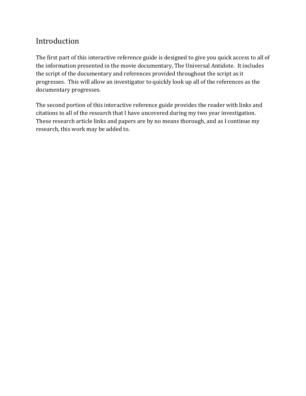### <span id="page-3-0"></span>Introduction

The first part of this interactive reference guide is designed to give you quick access to all of the information presented in the movie documentary, The Universal Antidote. It includes the script of the documentary and references provided throughout the script as it progresses. This will allow an investigator to quickly look up all of the references as the documentary progresses.

The second portion of this interactive reference guide provides the reader with links and citations to all of the research that I have uncovered during my two year investigation. These research article links and papers are by no means thorough, and as I continue my research, this work may be added to.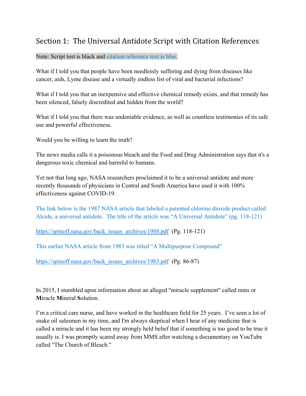## <span id="page-4-0"></span>Section 1: The Universal Antidote Script with Citation References

Note: Script test is black and citation reference text is blue.

What if I told you that people have been needlessly suffering and dying from diseases like cancer, aids, Lyme disease and a virtually endless list of viral and bacterial infections?

What if I told you that an inexpensive and effective chemical remedy exists, and that remedy has been silenced, falsely discredited and hidden from the world?

What if I told you that there was undeniable evidence, as well as countless testimonies of its safe use and powerful effectiveness.

Would you be willing to learn the truth?

The news media calls it a poisonous bleach and the Food and Drug Administration says that it's a dangerous toxic chemical and harmful to humans.

Yet not that long ago, NASA researchers proclaimed it to be a universal antidote and more recently thousands of physicians in Central and South America have used it with 100% effectiveness against COVID-19.

The link below is the 1987 NASA article that labeled a patented chlorine dioxide product called Alcide, a universal antidote. The title of the article was "A Universal Antidote" (pg. 118-121)

[https://spinoff.nasa.gov/back\\_issues\\_archives/1988.pdf](https://spinoff.nasa.gov/back_issues_archives/1988.pdf) (Pg. 118-121)

This earlier NASA article from 1983 was titled "A Multipurpose Compound"

[https://spinoff.nasa.gov/back\\_issues\\_archives/1983.pdf](https://spinoff.nasa.gov/back_issues_archives/1983.pdf) (Pg. 86-87)

In 2015, I stumbled upon information about an alleged "miracle supplement" called mms or **M**iracle **M**ineral **S**olution.

I'm a critical care nurse, and have worked in the healthcare field for 25 years. I've seen a lot of snake oil salesmen in my time, and I'm always skeptical when I hear of any medicine that is called a miracle and it has been my strongly held belief that if something is too good to be true it usually is. I was promptly scared away from MMS after watching a documentary on YouTube called "The Church of Bleach."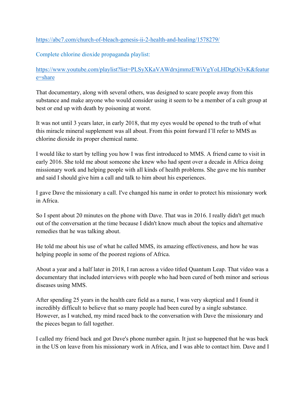<https://abc7.com/church-of-bleach-genesis-ii-2-health-and-healing/1578279/>

Complete chlorine dioxide propaganda playlist:

[https://www.youtube.com/playlist?list=PLSyXKaVAWdrxjmmzEWiVgYoLHDtgOi3vK&featur](https://www.youtube.com/playlist?list=PLSyXKaVAWdrxjmmzEWiVgYoLHDtgOi3vK&feature=share) [e=share](https://www.youtube.com/playlist?list=PLSyXKaVAWdrxjmmzEWiVgYoLHDtgOi3vK&feature=share)

That documentary, along with several others, was designed to scare people away from this substance and make anyone who would consider using it seem to be a member of a cult group at best or end up with death by poisoning at worst.

It was not until 3 years later, in early 2018, that my eyes would be opened to the truth of what this miracle mineral supplement was all about. From this point forward I'll refer to MMS as chlorine dioxide its proper chemical name.

I would like to start by telling you how I was first introduced to MMS. A friend came to visit in early 2016. She told me about someone she knew who had spent over a decade in Africa doing missionary work and helping people with all kinds of health problems. She gave me his number and said I should give him a call and talk to him about his experiences.

I gave Dave the missionary a call. I've changed his name in order to protect his missionary work in Africa.

So I spent about 20 minutes on the phone with Dave. That was in 2016. I really didn't get much out of the conversation at the time because I didn't know much about the topics and alternative remedies that he was talking about.

He told me about his use of what he called MMS, its amazing effectiveness, and how he was helping people in some of the poorest regions of Africa.

About a year and a half later in 2018, I ran across a video titled Quantum Leap. That video was a documentary that included interviews with people who had been cured of both minor and serious diseases using MMS.

After spending 25 years in the health care field as a nurse, I was very skeptical and I found it incredibly difficult to believe that so many people had been cured by a single substance. However, as I watched, my mind raced back to the conversation with Dave the missionary and the pieces began to fall together.

I called my friend back and got Dave's phone number again. It just so happened that he was back in the US on leave from his missionary work in Africa, and I was able to contact him. Dave and I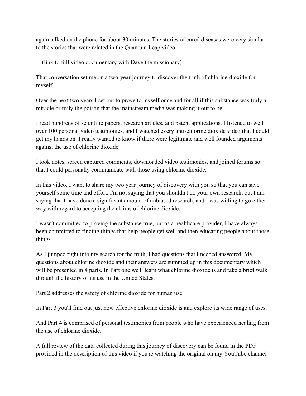again talked on the phone for about 30 minutes. The stories of cured diseases were very similar to the stories that were related in the Quantum Leap video.

---(link to full video documentary with Dave the missionary)---

That conversation set me on a two-year journey to discover the truth of chlorine dioxide for myself.

Over the next two years I set out to prove to myself once and for all if this substance was truly a miracle or truly the poison that the mainstream media was making it out to be.

I read hundreds of scientific papers, research articles, and patent applications. I listened to well over 100 personal video testimonies, and I watched every anti-chlorine dioxide video that I could get my hands on. I really wanted to know if there were legitimate and well founded arguments against the use of chlorine dioxide.

I took notes, screen captured comments, downloaded video testimonies, and joined forums so that I could personally communicate with those using chlorine dioxide.

In this video, I want to share my two year journey of discovery with you so that you can save yourself some time and effort. I'm not saying that you shouldn't do your own research, but I am saying that I have done a significant amount of unbiased research, and I was willing to go either way with regard to accepting the claims of chlorine dioxide.

I wasn't committed to proving the substance true, but as a healthcare provider, I have always been committed to finding things that help people get well and then educating people about those things.

As I jumped right into my search for the truth, I had questions that I needed answered. My questions about chlorine dioxide and their answers are summed up in this documentary which will be presented in 4 parts. In Part one we'll learn what chlorine dioxide is and take a brief walk through the history of its use in the United States.

Part 2 addresses the safety of chlorine dioxide for human use.

In Part 3 you'll find out just how effective chlorine dioxide is and explore its wide range of uses.

And Part 4 is comprised of personal testimonies from people who have experienced healing from the use of chlorine dioxide.

A full review of the data collected during this journey of discovery can be found in the PDF provided in the description of this video if you're watching the original on my YouTube channel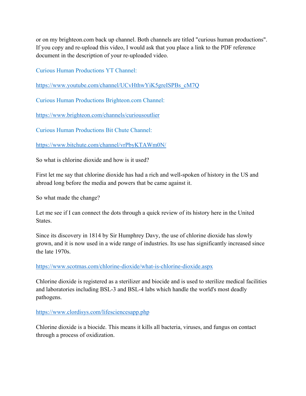or on my brighteon.com back up channel. Both channels are titled "curious human productions". If you copy and re-upload this video, I would ask that you place a link to the PDF reference document in the description of your re-uploaded video.

Curious Human Productions YT Channel:

[https://www.youtube.com/channel/UCvHthwYiK5greISPBs\\_cM7Q](https://www.youtube.com/channel/UCvHthwYiK5greISPBs_cM7Q)

Curious Human Productions Brighteon.com Channel:

<https://www.brighteon.com/channels/curiousoutlier>

Curious Human Productions Bit Chute Channel:

<https://www.bitchute.com/channel/vrPbyKTAWm0N/>

So what is chlorine dioxide and how is it used?

First let me say that chlorine dioxide has had a rich and well-spoken of history in the US and abroad long before the media and powers that be came against it.

So what made the change?

Let me see if I can connect the dots through a quick review of its history here in the United States.

Since its discovery in 1814 by Sir Humphrey Davy, the use of chlorine dioxide has slowly grown, and it is now used in a wide range of industries. Its use has significantly increased since the late 1970s.

<https://www.scotmas.com/chlorine-dioxide/what-is-chlorine-dioxide.aspx>

Chlorine dioxide is registered as a sterilizer and biocide and is used to sterilize medical facilities and laboratories including BSL-3 and BSL-4 labs which handle the world's most deadly pathogens.

<https://www.clordisys.com/lifesciencesapp.php>

Chlorine dioxide is a biocide. This means it kills all bacteria, viruses, and fungus on contact through a process of oxidization.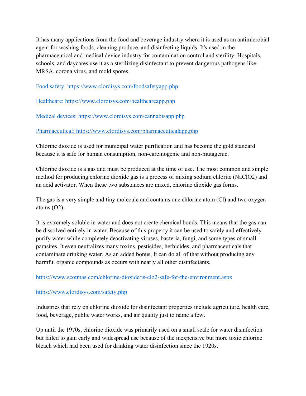It has many applications from the food and beverage industry where it is used as an antimicrobial agent for washing foods, cleaning produce, and disinfecting liquids. It's used in the pharmaceutical and medical device industry for contamination control and sterility. Hospitals, schools, and daycares use it as a sterilizing disinfectant to prevent dangerous pathogens like MRSA, corona virus, and mold spores.

Food safety: https://www.clordisys.com/foodsafetyapp.php

[Healthcare: https://www.clordisys.com/healthcareapp.php](healthcare:%20https://www.clordisys.com/healthcareapp.php)

Medical devices: https://www.clordisys.com/cannabisapp.php

[Pharmaceutical: https://www.clordisys.com/pharmaceuticalapp.php](pharmaceutical:%20https://www.clordisys.com/pharmaceuticalapp.php)

Chlorine dioxide is used for municipal water purification and has become the gold standard because it is safe for human consumption, non-carcinogenic and non-mutagenic.

Chlorine dioxide is a gas and must be produced at the time of use. The most common and simple method for producing chlorine dioxide gas is a process of mixing sodium chlorite (NaClO2) and an acid activator. When these two substances are mixed, chlorine dioxide gas forms.

The gas is a very simple and tiny molecule and contains one chlorine atom (Cl) and two oxygen atoms (O2).

It is extremely soluble in water and does not create chemical bonds. This means that the gas can be dissolved entirely in water. Because of this property it can be used to safely and effectively purify water while completely deactivating viruses, bacteria, fungi, and some types of small parasites. It even neutralizes many toxins, pesticides, herbicides, and pharmaceuticals that contaminate drinking water. As an added bonus, It can do all of that without producing any harmful organic compounds as occurs with nearly all other disinfectants.

<https://www.scotmas.com/chlorine-dioxide/is-clo2-safe-for-the-environment.aspx>

#### <https://www.clordisys.com/safety.php>

Industries that rely on chlorine dioxide for disinfectant properties include agriculture, health care, food, beverage, public water works, and air quality just to name a few.

Up until the 1970s, chlorine dioxide was primarily used on a small scale for water disinfection but failed to gain early and widespread use because of the inexpensive but more toxic chlorine bleach which had been used for drinking water disinfection since the 1920s.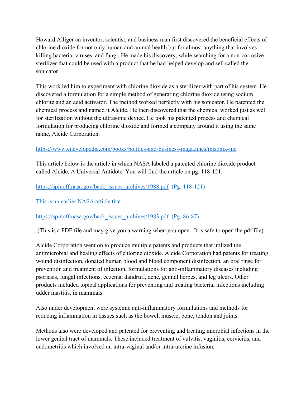Howard Alliger an inventor, scientist, and business man first discovered the beneficial effects of chlorine dioxide for not only human and animal health but for almost anything that involves killing bacteria, viruses, and fungi. He made his discovery, while searching for a non-corrosive sterilizer that could be used with a product that he had helped develop and sell called the sonicator.

This work led him to experiment with chlorine dioxide as a sterilizer with part of his system. He discovered a formulation for a simple method of generating chlorine dioxide using sodium chlorite and an acid activator. The method worked perfectly with his sonicator. He patented the chemical process and named it Alcide. He then discovered that the chemical worked just as well for sterilization without the ultrasonic device. He took his patented process and chemical formulation for producing chlorine dioxide and formed a company around it using the same name, Alcide Corporation.

#### <https://www.encyclopedia.com/books/politics-and-business-magazines/misonix-inc>

This article below is the article in which NASA labeled a patented chlorine dioxide product called Alcide, A Universal Antidote. You will find the article on pg. 118-121.

[https://spinoff.nasa.gov/back\\_issues\\_archives/1988.pdf](https://spinoff.nasa.gov/back_issues_archives/1988.pdf) (Pg. 118-121)

This is an earlier NASA article that

[https://spinoff.nasa.gov/back\\_issues\\_archives/1983.pdf](https://spinoff.nasa.gov/back_issues_archives/1983.pdf) (Pg. 86-87)

(This is a PDF file and may give you a warning when you open. It is safe to open the pdf file)

Alcide Corporation went on to produce multiple patents and products that utilized the antimicrobial and healing effects of chlorine dioxide. Alcide Corporation had patents for treating wound disinfection, donated human blood and blood component disinfection, an oral rinse for prevention and treatment of infection, formulations for anti-inflammatory diseases including psoriasis, fungal infections, eczema, dandruff, acne, genital herpes, and leg ulcers. Other products included topical applications for preventing and treating bacterial infections including udder mastitis, in mammals.

Also under development were systemic anti-inflammatory formulations and methods for reducing inflammation in tissues such as the bowel, muscle, bone, tendon and joints.

Methods also were developed and patented for preventing and treating microbial infections in the lower genital tract of mammals. These included treatment of vulvitis, vaginitis, cervicitis, and endometritis which involved an intra-vaginal and/or intra-uterine infusion.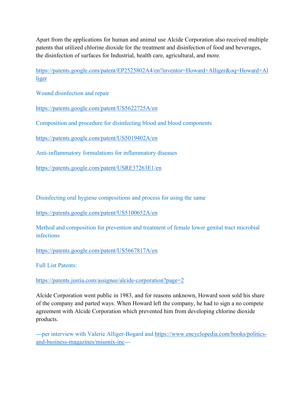Apart from the applications for human and animal use Alcide Corporation also received multiple patents that utilized chlorine dioxide for the treatment and disinfection of food and beverages, the disinfection of surfaces for Industrial, health care, agricultural, and more.

[https://patents.google.com/patent/EP2525802A4/en?inventor=Howard+Alliger&oq=Howard+Al](https://patents.google.com/patent/EP2525802A4/en?inventor=Howard+Alliger&oq=Howard+Alliger) [liger](https://patents.google.com/patent/EP2525802A4/en?inventor=Howard+Alliger&oq=Howard+Alliger)

Wound disinfection and repair

<https://patents.google.com/patent/US5622725A/en>

Composition and procedure for disinfecting blood and blood components

<https://patents.google.com/patent/US5019402A/en>

Anti-inflammatory formulations for inflammatory diseases

<https://patents.google.com/patent/USRE37263E1/en>

Disinfecting oral hygiene compositions and process for using the same

<https://patents.google.com/patent/US5100652A/en>

Method and composition for prevention and treatment of female lower genital tract microbial infections

<https://patents.google.com/patent/US5667817A/en>

Full List Patents:

<https://patents.justia.com/assignee/alcide-corporation?page=2>

Alcide Corporation went public in 1983, and for reasons unknown, Howard soon sold his share of the company and parted ways. When Howard left the company, he had to sign a no compete agreement with Alcide Corporation which prevented him from developing chlorine dioxide products.

---per interview with Valerie Alliger-Bogard and [https://www.encyclopedia.com/books/politics](https://www.encyclopedia.com/books/politics-and-business-magazines/misonix-inc)[and-business-magazines/misonix-inc-](https://www.encyclopedia.com/books/politics-and-business-magazines/misonix-inc)--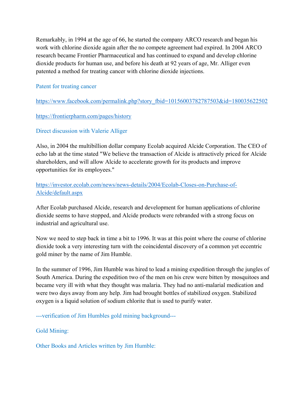Remarkably, in 1994 at the age of 66, he started the company ARCO research and began his work with chlorine dioxide again after the no compete agreement had expired. In 2004 ARCO research became Frontier Pharmaceutical and has continued to expand and develop chlorine dioxide products for human use, and before his death at 92 years of age, Mr. Alliger even patented a method for treating cancer with chlorine dioxide injections.

Patent for treating cancer

[https://www.facebook.com/permalink.php?story\\_fbid=10156003782787503&id=180035622502](https://www.facebook.com/permalink.php?story_fbid=10156003782787503&id=180035622502%20)

<https://frontierpharm.com/pages/history>

#### Direct discussion with Valerie Alliger

Also, in 2004 the multibillion dollar company Ecolab acquired Alcide Corporation. The CEO of echo lab at the time stated "We believe the transaction of Alcide is attractively priced for Alcide shareholders, and will allow Alcide to accelerate growth for its products and improve opportunities for its employees."

#### [https://investor.ecolab.com/news/news-details/2004/Ecolab-Closes-on-Purchase-of-](https://investor.ecolab.com/news/news-details/2004/Ecolab-Closes-on-Purchase-of-Alcide/default.aspx)[Alcide/default.aspx](https://investor.ecolab.com/news/news-details/2004/Ecolab-Closes-on-Purchase-of-Alcide/default.aspx)

After Ecolab purchased Alcide, research and development for human applications of chlorine dioxide seems to have stopped, and Alcide products were rebranded with a strong focus on industrial and agricultural use.

Now we need to step back in time a bit to 1996. It was at this point where the course of chlorine dioxide took a very interesting turn with the coincidental discovery of a common yet eccentric gold miner by the name of Jim Humble.

In the summer of 1996, Jim Humble was hired to lead a mining expedition through the jungles of South America. During the expedition two of the men on his crew were bitten by mosquitoes and became very ill with what they thought was malaria. They had no anti-malarial medication and were two days away from any help. Jim had brought bottles of stabilized oxygen. Stabilized oxygen is a liquid solution of sodium chlorite that is used to purify water.

---verification of Jim Humbles gold mining background---

Gold Mining:

Other Books and Articles written by Jim Humble: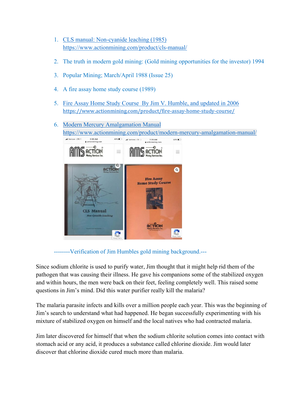- 1. [CLS manual: Non-cyanide leaching \(1985\)](https://www.actionmining.com/product/cls-manual/) <https://www.actionmining.com/product/cls-manual/>
- 2. The truth in modern gold mining: (Gold mining opportunities for the investor) 1994
- 3. Popular Mining; March/April 1988 (Issue 25)
- 4. A fire assay home study course (1989)
- 5. [Fire Assay Home Study Course By Jim V. Humble, and updated in 2006](https://www.actionmining.com/product/fire-assay-home-study-course/)  <https://www.actionmining.com/product/fire-assay-home-study-course/>
- 6. Modern Mercury Amalgamation Manual

https://www.actionmining.com/product/modern-mercury-amalgamation-manual/



--------Verification of Jim Humbles gold mining background.---

Since sodium chlorite is used to purify water, Jim thought that it might help rid them of the pathogen that was causing their illness. He gave his companions some of the stabilized oxygen and within hours, the men were back on their feet, feeling completely well. This raised some questions in Jim's mind. Did this water purifier really kill the malaria?

The malaria parasite infects and kills over a million people each year. This was the beginning of Jim's search to understand what had happened. He began successfully experimenting with his mixture of stabilized oxygen on himself and the local natives who had contracted malaria.

Jim later discovered for himself that when the sodium chlorite solution comes into contact with stomach acid or any acid, it produces a substance called chlorine dioxide. Jim would later discover that chlorine dioxide cured much more than malaria.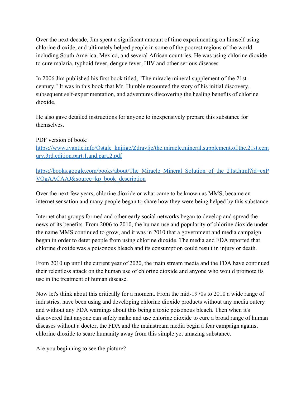Over the next decade, Jim spent a significant amount of time experimenting on himself using chlorine dioxide, and ultimately helped people in some of the poorest regions of the world including South America, Mexico, and several African countries. He was using chlorine dioxide to cure malaria, typhoid fever, dengue fever, HIV and other serious diseases.

In 2006 Jim published his first book titled, "The miracle mineral supplement of the 21stcentury." It was in this book that Mr. Humble recounted the story of his initial discovery, subsequent self-experimentation, and adventures discovering the healing benefits of chlorine dioxide.

He also gave detailed instructions for anyone to inexpensively prepare this substance for themselves.

#### PDF version of book:

[https://www.ivantic.info/Ostale\\_knjiige/Zdravlje/the.miracle.mineral.supplement.of.the.21st.cent](https://www.ivantic.info/Ostale_knjiige/Zdravlje/the.miracle.mineral.supplement.of.the.21st.century.3rd.edition.part.1.and.part.2.pdf) [ury.3rd.edition.part.1.and.part.2.pdf](https://www.ivantic.info/Ostale_knjiige/Zdravlje/the.miracle.mineral.supplement.of.the.21st.century.3rd.edition.part.1.and.part.2.pdf)

[https://books.google.com/books/about/The\\_Miracle\\_Mineral\\_Solution\\_of\\_the\\_21st.html?id=cxP](https://books.google.com/books/about/The_Miracle_Mineral_Solution_of_the_21st.html?id=cxPVQgAACAAJ&source=kp_book_description%20) [VQgAACAAJ&source=kp\\_book\\_description](https://books.google.com/books/about/The_Miracle_Mineral_Solution_of_the_21st.html?id=cxPVQgAACAAJ&source=kp_book_description%20)

Over the next few years, chlorine dioxide or what came to be known as MMS, became an internet sensation and many people began to share how they were being helped by this substance.

Internet chat groups formed and other early social networks began to develop and spread the news of its benefits. From 2006 to 2010, the human use and popularity of chlorine dioxide under the name MMS continued to grow, and it was in 2010 that a government and media campaign began in order to deter people from using chlorine dioxide. The media and FDA reported that chlorine dioxide was a poisonous bleach and its consumption could result in injury or death.

From 2010 up until the current year of 2020, the main stream media and the FDA have continued their relentless attack on the human use of chlorine dioxide and anyone who would promote its use in the treatment of human disease.

Now let's think about this critically for a moment. From the mid-1970s to 2010 a wide range of industries, have been using and developing chlorine dioxide products without any media outcry and without any FDA warnings about this being a toxic poisonous bleach. Then when it's discovered that anyone can safely make and use chlorine dioxide to cure a broad range of human diseases without a doctor, the FDA and the mainstream media begin a fear campaign against chlorine dioxide to scare humanity away from this simple yet amazing substance.

Are you beginning to see the picture?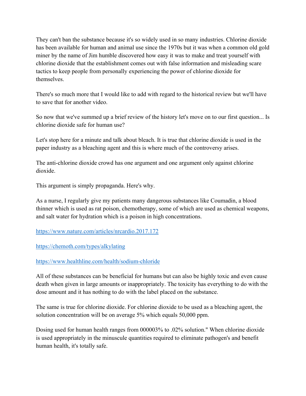They can't ban the substance because it's so widely used in so many industries. Chlorine dioxide has been available for human and animal use since the 1970s but it was when a common old gold miner by the name of Jim humble discovered how easy it was to make and treat yourself with chlorine dioxide that the establishment comes out with false information and misleading scare tactics to keep people from personally experiencing the power of chlorine dioxide for themselves.

There's so much more that I would like to add with regard to the historical review but we'll have to save that for another video.

So now that we've summed up a brief review of the history let's move on to our first question... Is chlorine dioxide safe for human use?

Let's stop here for a minute and talk about bleach. It is true that chlorine dioxide is used in the paper industry as a bleaching agent and this is where much of the controversy arises.

The anti-chlorine dioxide crowd has one argument and one argument only against chlorine dioxide.

This argument is simply propaganda. Here's why.

As a nurse, I regularly give my patients many dangerous substances like Coumadin, a blood thinner which is used as rat poison, chemotherapy, some of which are used as chemical weapons, and salt water for hydration which is a poison in high concentrations.

<https://www.nature.com/articles/nrcardio.2017.172>

<https://chemoth.com/types/alkylating>

<https://www.healthline.com/health/sodium-chloride>

All of these substances can be beneficial for humans but can also be highly toxic and even cause death when given in large amounts or inappropriately. The toxicity has everything to do with the dose amount and it has nothing to do with the label placed on the substance.

The same is true for chlorine dioxide. For chlorine dioxide to be used as a bleaching agent, the solution concentration will be on average 5% which equals 50,000 ppm.

Dosing used for human health ranges from 000003% to .02% solution." When chlorine dioxide is used appropriately in the minuscule quantities required to eliminate pathogen's and benefit human health, it's totally safe.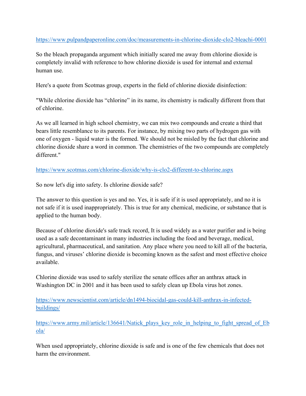<https://www.pulpandpaperonline.com/doc/measurements-in-chlorine-dioxide-clo2-bleachi-0001>

So the bleach propaganda argument which initially scared me away from chlorine dioxide is completely invalid with reference to how chlorine dioxide is used for internal and external human use.

Here's a quote from Scotmas group, experts in the field of chlorine dioxide disinfection:

"While chlorine dioxide has "chlorine" in its name, its chemistry is radically different from that of chlorine.

As we all learned in high school chemistry, we can mix two compounds and create a third that bears little resemblance to its parents. For instance, by mixing two parts of hydrogen gas with one of oxygen - liquid water is the formed. We should not be misled by the fact that chlorine and chlorine dioxide share a word in common. The chemistries of the two compounds are completely different."

<https://www.scotmas.com/chlorine-dioxide/why-is-clo2-different-to-chlorine.aspx>

So now let's dig into safety. Is chlorine dioxide safe?

The answer to this question is yes and no. Yes, it is safe if it is used appropriately, and no it is not safe if it is used inappropriately. This is true for any chemical, medicine, or substance that is applied to the human body.

Because of chlorine dioxide's safe track record, It is used widely as a water purifier and is being used as a safe decontaminant in many industries including the food and beverage, medical, agricultural, pharmaceutical, and sanitation. Any place where you need to kill all of the bacteria, fungus, and viruses' chlorine dioxide is becoming known as the safest and most effective choice available.

Chlorine dioxide was used to safely sterilize the senate offices after an anthrax attack in Washington DC in 2001 and it has been used to safely clean up Ebola virus hot zones.

[https://www.newscientist.com/article/dn1494-biocidal-gas-could-kill-anthrax-in-infected](https://www.newscientist.com/article/dn1494-biocidal-gas-could-kill-anthrax-in-infected-buildings/)[buildings/](https://www.newscientist.com/article/dn1494-biocidal-gas-could-kill-anthrax-in-infected-buildings/)

https://www.army.mil/article/136641/Natick plays key role in helping to fight spread of Eb [ola/](https://www.army.mil/article/136641/Natick_plays_key_role_in_helping_to_fight_spread_of_Ebola/)

When used appropriately, chlorine dioxide is safe and is one of the few chemicals that does not harm the environment.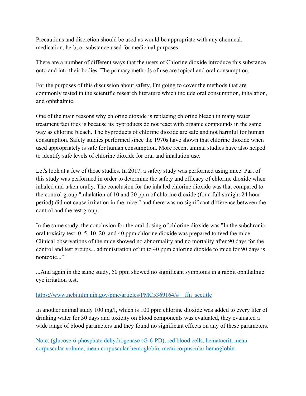Precautions and discretion should be used as would be appropriate with any chemical, medication, herb, or substance used for medicinal purposes.

There are a number of different ways that the users of Chlorine dioxide introduce this substance onto and into their bodies. The primary methods of use are topical and oral consumption.

For the purposes of this discussion about safety, I'm going to cover the methods that are commonly tested in the scientific research literature which include oral consumption, inhalation, and ophthalmic.

One of the main reasons why chlorine dioxide is replacing chlorine bleach in many water treatment facilities is because its byproducts do not react with organic compounds in the same way as chlorine bleach. The byproducts of chlorine dioxide are safe and not harmful for human consumption. Safety studies performed since the 1970s have shown that chlorine dioxide when used appropriately is safe for human consumption. More recent animal studies have also helped to identify safe levels of chlorine dioxide for oral and inhalation use.

Let's look at a few of those studies. In 2017, a safety study was performed using mice. Part of this study was performed in order to determine the safety and efficacy of chlorine dioxide when inhaled and taken orally. The conclusion for the inhaled chlorine dioxide was that compared to the control group "inhalation of 10 and 20 ppm of chlorine dioxide (for a full straight 24 hour period) did not cause irritation in the mice." and there was no significant difference between the control and the test group.

In the same study, the conclusion for the oral dosing of chlorine dioxide was "In the subchronic oral toxicity test, 0, 5, 10, 20, and 40 ppm chlorine dioxide was prepared to feed the mice. Clinical observations of the mice showed no abnormality and no mortality after 90 days for the control and test groups....administration of up to 40 ppm chlorine dioxide to mice for 90 days is nontoxic..."

...And again in the same study, 50 ppm showed no significant symptoms in a rabbit ophthalmic eye irritation test.

#### [https://www.ncbi.nlm.nih.gov/pmc/articles/PMC5369164/#\\_\\_ffn\\_sectitle](https://www.ncbi.nlm.nih.gov/pmc/articles/PMC5369164/%23__ffn_sectitle)

In another animal study 100 mg/l, which is 100 ppm chlorine dioxide was added to every liter of drinking water for 30 days and toxicity on blood components was evaluated, they evaluated a wide range of blood parameters and they found no significant effects on any of these parameters.

Note: (glucose-6-phosphate dehydrogenase (G-6-PD), red blood cells, hematocrit, mean corpuscular volume, mean corpuscular hemoglobin, mean corpuscular hemoglobin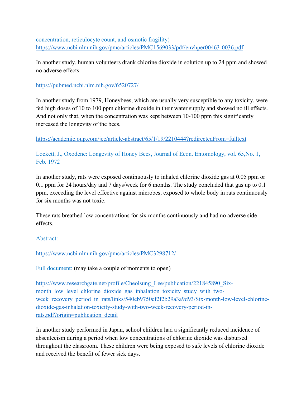concentration, reticulocyte count, and osmotic fragility) <https://www.ncbi.nlm.nih.gov/pmc/articles/PMC1569033/pdf/envhper00463-0036.pdf>

In another study, human volunteers drank chlorine dioxide in solution up to 24 ppm and showed no adverse effects.

<https://pubmed.ncbi.nlm.nih.gov/6520727/>

In another study from 1979, Honeybees, which are usually very susceptible to any toxicity, were fed high doses of 10 to 100 ppm chlorine dioxide in their water supply and showed no ill effects. And not only that, when the concentration was kept between 10-100 ppm this significantly increased the longevity of the bees.

[https://academic.oup.com/jee/article-abstract/65/1/19/2210444?redirectedFrom=fulltext](https://academic.oup.com/jee/article-abstract/65/1/19/2210444?redirectedFrom=fulltext%20)

Lockett, J., Oxodene: Longevity of Honey Bees, Journal of Econ. Entomology, vol. 65,No. 1, Feb. 1972

In another study, rats were exposed continuously to inhaled chlorine dioxide gas at 0.05 ppm or 0.1 ppm for 24 hours/day and 7 days/week for 6 months. The study concluded that gas up to 0.1 ppm, exceeding the level effective against microbes, exposed to whole body in rats continuously for six months was not toxic.

These rats breathed low concentrations for six months continuously and had no adverse side effects.

Abstract:

<https://www.ncbi.nlm.nih.gov/pmc/articles/PMC3298712/>

Full document: (may take a couple of moments to open)

[https://www.researchgate.net/profile/Cheolsung\\_Lee/publication/221845890\\_Six](https://www.researchgate.net/profile/Cheolsung_Lee/publication/221845890_Six-month_low_level_chlorine_dioxide_gas_inhalation_toxicity_study_with_two-week_recovery_period_in_rats/links/540eb9750cf2f2b29a3a9d93/Six-month-low-level-chlorine-dioxide-gas-inhalation-toxicity-study-with-two-week-recovery-period-in-rats.pdf?origin=publication_detail)month low level chlorine dioxide gas inhalation toxicity study with twoweek recovery period in rats/links/540eb9750cf2f2b29a3a9d93/Six-month-low-level-chlorine[dioxide-gas-inhalation-toxicity-study-with-two-week-recovery-period-in](https://www.researchgate.net/profile/Cheolsung_Lee/publication/221845890_Six-month_low_level_chlorine_dioxide_gas_inhalation_toxicity_study_with_two-week_recovery_period_in_rats/links/540eb9750cf2f2b29a3a9d93/Six-month-low-level-chlorine-dioxide-gas-inhalation-toxicity-study-with-two-week-recovery-period-in-rats.pdf?origin=publication_detail)[rats.pdf?origin=publication\\_detail](https://www.researchgate.net/profile/Cheolsung_Lee/publication/221845890_Six-month_low_level_chlorine_dioxide_gas_inhalation_toxicity_study_with_two-week_recovery_period_in_rats/links/540eb9750cf2f2b29a3a9d93/Six-month-low-level-chlorine-dioxide-gas-inhalation-toxicity-study-with-two-week-recovery-period-in-rats.pdf?origin=publication_detail)

In another study performed in Japan, school children had a significantly reduced incidence of absenteeism during a period when low concentrations of chlorine dioxide was disbursed throughout the classroom. These children were being exposed to safe levels of chlorine dioxide and received the benefit of fewer sick days.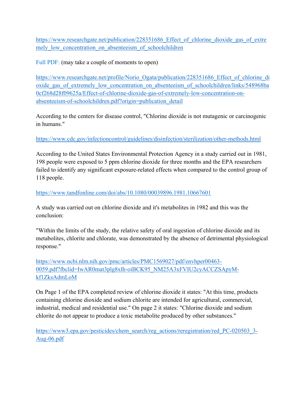https://www.researchgate.net/publication/228351686 Effect of chlorine dioxide gas of extre mely low concentration on absenteeism of schoolchildren

Full PDF: (may take a couple of moments to open)

[https://www.researchgate.net/profile/Norio\\_Ogata/publication/228351686\\_Effect\\_of\\_chlorine\\_di](https://www.researchgate.net/profile/Norio_Ogata/publication/228351686_Effect_of_chlorine_dioxide_gas_of_extremely_low_concentration_on_absenteeism_of_schoolchildren/links/548968ba0cf268d28f09625a/Effect-of-chlorine-dioxide-gas-of-extremely-low-concentration-on-absenteeism-of-schoolchildren.pdf?origin=publication_detail%20) [oxide\\_gas\\_of\\_extremely\\_low\\_concentration\\_on\\_absenteeism\\_of\\_schoolchildren/links/548968ba](https://www.researchgate.net/profile/Norio_Ogata/publication/228351686_Effect_of_chlorine_dioxide_gas_of_extremely_low_concentration_on_absenteeism_of_schoolchildren/links/548968ba0cf268d28f09625a/Effect-of-chlorine-dioxide-gas-of-extremely-low-concentration-on-absenteeism-of-schoolchildren.pdf?origin=publication_detail%20) [0cf268d28f09625a/Effect-of-chlorine-dioxide-gas-of-extremely-low-concentration-on](https://www.researchgate.net/profile/Norio_Ogata/publication/228351686_Effect_of_chlorine_dioxide_gas_of_extremely_low_concentration_on_absenteeism_of_schoolchildren/links/548968ba0cf268d28f09625a/Effect-of-chlorine-dioxide-gas-of-extremely-low-concentration-on-absenteeism-of-schoolchildren.pdf?origin=publication_detail%20)[absenteeism-of-schoolchildren.pdf?origin=publication\\_detail](https://www.researchgate.net/profile/Norio_Ogata/publication/228351686_Effect_of_chlorine_dioxide_gas_of_extremely_low_concentration_on_absenteeism_of_schoolchildren/links/548968ba0cf268d28f09625a/Effect-of-chlorine-dioxide-gas-of-extremely-low-concentration-on-absenteeism-of-schoolchildren.pdf?origin=publication_detail%20)

According to the centers for disease control, "Chlorine dioxide is not mutagenic or carcinogenic in humans."

<https://www.cdc.gov/infectioncontrol/guidelines/disinfection/sterilization/other-methods.html>

According to the United States Environmental Protection Agency in a study carried out in 1981, 198 people were exposed to 5 ppm chlorine dioxide for three months and the EPA researchers failed to identify any significant exposure-related effects when compared to the control group of 118 people.

<https://www.tandfonline.com/doi/abs/10.1080/00039896.1981.10667601>

A study was carried out on chlorine dioxide and it's metabolites in 1982 and this was the conclusion:

"Within the limits of the study, the relative safety of oral ingestion of chlorine dioxide and its metabolites, chlorite and chlorate, was demonstrated by the absence of detrimental physiological response."

[https://www.ncbi.nlm.nih.gov/pmc/articles/PMC1569027/pdf/envhper00463-](https://www.ncbi.nlm.nih.gov/pmc/articles/PMC1569027/pdf/envhper00463-0059.pdf?fbclid=IwAR0mat3plg8xlh-oiBCK95_NM25A3xFVIU2cyACCZSApyM-kf1ZksAdmLoM%20) [0059.pdf?fbclid=IwAR0mat3plg8xlh-oiBCK95\\_NM25A3xFVIU2cyACCZSApyM](https://www.ncbi.nlm.nih.gov/pmc/articles/PMC1569027/pdf/envhper00463-0059.pdf?fbclid=IwAR0mat3plg8xlh-oiBCK95_NM25A3xFVIU2cyACCZSApyM-kf1ZksAdmLoM%20)[kf1ZksAdmLoM](https://www.ncbi.nlm.nih.gov/pmc/articles/PMC1569027/pdf/envhper00463-0059.pdf?fbclid=IwAR0mat3plg8xlh-oiBCK95_NM25A3xFVIU2cyACCZSApyM-kf1ZksAdmLoM%20)

On Page 1 of the EPA completed review of chlorine dioxide it states: "At this time, products containing chlorine dioxide and sodium chlorite are intended for agricultural, commercial, industrial, medical and residential use." On page 2 it states: "Chlorine dioxide and sodium chlorite do not appear to produce a toxic metabolite produced by other substances."

[https://www3.epa.gov/pesticides/chem\\_search/reg\\_actions/reregistration/red\\_PC-020503\\_3-](https://www3.epa.gov/pesticides/chem_search/reg_actions/reregistration/red_PC-020503_3-Aug-06.pdf) [Aug-06.pdf](https://www3.epa.gov/pesticides/chem_search/reg_actions/reregistration/red_PC-020503_3-Aug-06.pdf)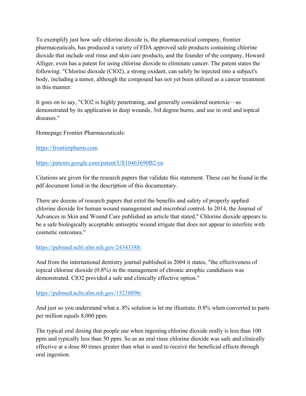To exemplify just how safe chlorine dioxide is, the pharmaceutical company, frontier pharmaceuticals, has produced a variety of FDA approved safe products containing chlorine dioxide that include oral rinse and skin care products, and the founder of the company, Howard Alliger, even has a patent for using chlorine dioxide to eliminate cancer. The patent states the following: "Chlorine dioxide (ClO2), a strong oxidant, can safely be injected into a subject's body, including a tumor, although the compound has not yet been utilized as a cancer treatment in this manner.

It goes on to say, "ClO2 is highly penetrating, and generally considered nontoxic—as demonstrated by its application in deep wounds, 3rd degree burns, and use in oral and topical diseases."

Homepage Frontier Pharmaceuticals:

#### [https://frontierpharm.com](https://frontierpharm.com/)

#### <https://patents.google.com/patent/US10463690B2/en>

Citations are given for the research papers that validate this statement. These can be found in the pdf document listed in the description of this documentary.

There are dozens of research papers that extol the benefits and safety of properly applied chlorine dioxide for human wound management and microbial control. In 2014, the Journal of Advances in Skin and Wound Care published an article that stated," Chlorine dioxide appears to be a safe biologically acceptable antiseptic wound irrigate that does not appear to interfere with cosmetic outcomes."

#### <https://pubmed.ncbi.nlm.nih.gov/24343388/>

And from the international dentistry journal published in 2004 it states, "the effectiveness of topical chlorine dioxide (0.8%) in the management of chronic atrophic candidiasis was demonstrated. ClO2 provided a safe and clinically effective option."

#### <https://pubmed.ncbi.nlm.nih.gov/15218896/>

And just so you understand what a .8% solution is let me illustrate. 0.8% when converted to parts per million equals 8,000 ppm.

The typical oral dosing that people use when ingesting chlorine dioxide orally is less than 100 ppm and typically less than 50 ppm. So as an oral rinse chlorine dioxide was safe and clinically effective at a dose 80 times greater than what is used to receive the beneficial effects through oral ingestion.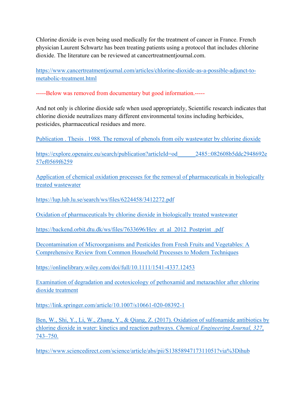Chlorine dioxide is even being used medically for the treatment of cancer in France. French physician Laurent Schwartz has been treating patients using a protocol that includes chlorine dioxide. The literature can be reviewed at cancertreatmentjournal.com.

[https://www.cancertreatmentjournal.com/articles/chlorine-dioxide-as-a-possible-adjunct-to](https://www.cancertreatmentjournal.com/articles/chlorine-dioxide-as-a-possible-adjunct-to-metabolic-treatment.html)[metabolic-treatment.html](https://www.cancertreatmentjournal.com/articles/chlorine-dioxide-as-a-possible-adjunct-to-metabolic-treatment.html)

-----Below was removed from documentary but good information.-----

And not only is chlorine dioxide safe when used appropriately, Scientific research indicates that chlorine dioxide neutralizes many different environmental toxins including herbicides, pesticides, pharmaceutical residues and more.

[Publication . Thesis . 1988. The removal of phenols from oily wastewater by chlorine dioxide](https://explore.openaire.eu/search/publication?articleId=od______2485::082608b5ddc2948692e57ef0569f6259%20)

https://explore.openaire.eu/search/publication?articleId=od 2485::082608b5ddc2948692e [57ef0569f6259](https://explore.openaire.eu/search/publication?articleId=od______2485::082608b5ddc2948692e57ef0569f6259%20)

[Application of chemical oxidation processes for the removal of pharmaceuticals in biologically](https://lup.lub.lu.se/search/ws/files/6224458/3412272.pdf)  [treated wastewater](https://lup.lub.lu.se/search/ws/files/6224458/3412272.pdf)

<https://lup.lub.lu.se/search/ws/files/6224458/3412272.pdf>

[Oxidation of pharmaceuticals by chlorine dioxide in biologically treated wastewater](https://backend.orbit.dtu.dk/ws/files/7633696/Hey_et_al_2012_Postprint_.pdf)

[https://backend.orbit.dtu.dk/ws/files/7633696/Hey\\_et\\_al\\_2012\\_Postprint\\_.pdf](https://backend.orbit.dtu.dk/ws/files/7633696/Hey_et_al_2012_Postprint_.pdf)

[Decontamination of Microorganisms and Pesticides from Fresh Fruits and Vegetables: A](https://onlinelibrary.wiley.com/doi/full/10.1111/1541-4337.12453)  [Comprehensive Review from Common Household Processes to Modern Techniques](https://onlinelibrary.wiley.com/doi/full/10.1111/1541-4337.12453) 

<https://onlinelibrary.wiley.com/doi/full/10.1111/1541-4337.12453>

[Examination of degradation and ecotoxicology of pethoxamid and metazachlor after chlorine](https://link.springer.com/article/10.1007/s10661-020-08392-1)  [dioxide treatment](https://link.springer.com/article/10.1007/s10661-020-08392-1) 

<https://link.springer.com/article/10.1007/s10661-020-08392-1>

[Ben, W., Shi, Y., Li, W., Zhang, Y., & Qiang, Z. \(2017\). Oxidation of sulfonamide antibiotics by](https://www.sciencedirect.com/science/article/abs/pii/S1385894717311051?via%3Dihub)  [chlorine dioxide in water: kinetics and reaction pathways.](https://www.sciencedirect.com/science/article/abs/pii/S1385894717311051?via%3Dihub) *Chemical Engineering Journal, 327*, [743–750.](https://www.sciencedirect.com/science/article/abs/pii/S1385894717311051?via%3Dihub) 

<https://www.sciencedirect.com/science/article/abs/pii/S1385894717311051?via%3Dihub>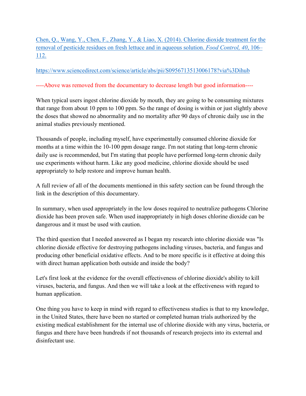[Chen, Q., Wang, Y., Chen, F., Zhang, Y., & Liao, X. \(2014\). Chlorine dioxide treatment for the](https://www.sciencedirect.com/science/article/abs/pii/S0956713513006178?via%3Dihub)  [removal of pesticide residues on fresh lettuce and in aqueous solution.](https://www.sciencedirect.com/science/article/abs/pii/S0956713513006178?via%3Dihub) *Food Control, 40*, 106– [112.](https://www.sciencedirect.com/science/article/abs/pii/S0956713513006178?via%3Dihub) 

#### <https://www.sciencedirect.com/science/article/abs/pii/S0956713513006178?via%3Dihub>

#### ----Above was removed from the documentary to decrease length but good information----

When typical users ingest chlorine dioxide by mouth, they are going to be consuming mixtures that range from about 10 ppm to 100 ppm. So the range of dosing is within or just slightly above the doses that showed no abnormality and no mortality after 90 days of chronic daily use in the animal studies previously mentioned.

Thousands of people, including myself, have experimentally consumed chlorine dioxide for months at a time within the 10-100 ppm dosage range. I'm not stating that long-term chronic daily use is recommended, but I'm stating that people have performed long-term chronic daily use experiments without harm. Like any good medicine, chlorine dioxide should be used appropriately to help restore and improve human health.

A full review of all of the documents mentioned in this safety section can be found through the link in the description of this documentary.

In summary, when used appropriately in the low doses required to neutralize pathogens Chlorine dioxide has been proven safe. When used inappropriately in high doses chlorine dioxide can be dangerous and it must be used with caution.

The third question that I needed answered as I began my research into chlorine dioxide was "Is chlorine dioxide effective for destroying pathogens including viruses, bacteria, and fungus and producing other beneficial oxidative effects. And to be more specific is it effective at doing this with direct human application both outside and inside the body?

Let's first look at the evidence for the overall effectiveness of chlorine dioxide's ability to kill viruses, bacteria, and fungus. And then we will take a look at the effectiveness with regard to human application.

One thing you have to keep in mind with regard to effectiveness studies is that to my knowledge, in the United States, there have been no started or completed human trials authorized by the existing medical establishment for the internal use of chlorine dioxide with any virus, bacteria, or fungus and there have been hundreds if not thousands of research projects into its external and disinfectant use.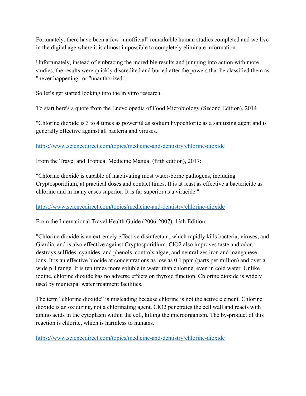Fortunately, there have been a few "unofficial" remarkable human studies completed and we live in the digital age where it is almost impossible to completely eliminate information.

Unfortunately, instead of embracing the incredible results and jumping into action with more studies, the results were quickly discredited and buried after the powers that be classified them as "never happening" or "unauthorized".

So let's get started looking into the in vitro research.

To start here's a quote from the Encyclopedia of Food Microbiology (Second Edition), 2014

"Chlorine dioxide is 3 to 4 times as powerful as sodium hypochlorite as a sanitizing agent and is generally effective against all bacteria and viruses."

<https://www.sciencedirect.com/topics/medicine-and-dentistry/chlorine-dioxide>

From the Travel and Tropical Medicine Manual (fifth edition), 2017:

"Chlorine dioxide is capable of inactivating most water-borne pathogens, including Cryptosporidium, at practical doses and contact times. It is at least as effective a bactericide as chlorine and in many cases superior. It is far superior as a virucide."

#### <https://www.sciencedirect.com/topics/medicine-and-dentistry/chlorine-dioxide>

From the International Travel Health Guide (2006-2007), 13th Edition:

"Chlorine dioxide is an extremely effective disinfectant, which rapidly kills bacteria, viruses, and Giardia, and is also effective against Cryptosporidium. ClO2 also improves taste and odor, destroys sulfides, cyanides, and phenols, controls algae, and neutralizes iron and manganese ions. It is an effective biocide at concentrations as low as 0.1 ppm (parts per million) and over a wide pH range. It is ten times more soluble in water than chlorine, even in cold water. Unlike iodine, chlorine dioxide has no adverse effects on thyroid function. Chlorine dioxide is widely used by municipal water treatment facilities.

The term "chlorine dioxide" is misleading because chlorine is not the active element. Chlorine dioxide is an oxidizing, not a chlorinating agent. ClO2 penetrates the cell wall and reacts with amino acids in the cytoplasm within the cell, killing the microorganism. The by-product of this reaction is chlorite, which is harmless to humans."

<https://www.sciencedirect.com/topics/medicine-and-dentistry/chlorine-dioxide>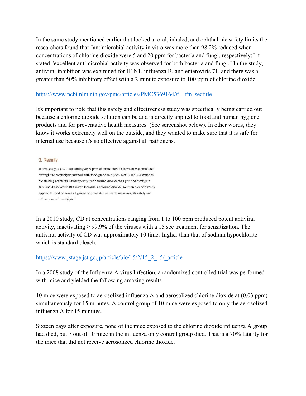In the same study mentioned earlier that looked at oral, inhaled, and ophthalmic safety limits the researchers found that "antimicrobial activity in vitro was more than 98.2% reduced when concentrations of chlorine dioxide were 5 and 20 ppm for bacteria and fungi, respectively;" it stated "excellent antimicrobial activity was observed for both bacteria and fungi." In the study, antiviral inhibition was examined for H1N1, influenza B, and enteroviris 71, and there was a greater than 50% inhibitory effect with a 2 minute exposure to 100 ppm of chlorine dioxide.

#### [https://www.ncbi.nlm.nih.gov/pmc/articles/PMC5369164/#\\_\\_ffn\\_sectitle](https://www.ncbi.nlm.nih.gov/pmc/articles/PMC5369164/%23__ffn_sectitle)

It's important to note that this safety and effectiveness study was specifically being carried out because a chlorine dioxide solution can be and is directly applied to food and human hygiene products and for preventative health measures. (See screenshot below). In other words, they know it works extremely well on the outside, and they wanted to make sure that it is safe for internal use because it's so effective against all pathogens.

#### 3. Results

In this study, a UC-1 containing 2000 ppm chlorine dioxide in water was produced through the electrolytic method with food-grade salt (99% NaCl) and RO water as the starting reactants. Subsequently, the chlorine dioxide was purified through a film and dissolved in RO water. Because a chlorine dioxide solution can be directly applied to food or human hygiene or preventative health measures, its safety and efficacy were investigated.

In a 2010 study, CD at concentrations ranging from 1 to 100 ppm produced potent antiviral activity, inactivating  $\geq$  99.9% of the viruses with a 15 sec treatment for sensitization. The antiviral activity of CD was approximately 10 times higher than that of sodium hypochlorite which is standard bleach.

#### [https://www.jstage.jst.go.jp/article/bio/15/2/15\\_2\\_45/\\_article](https://www.jstage.jst.go.jp/article/bio/15/2/15_2_45/_article)

In a 2008 study of the Influenza A virus Infection, a randomized controlled trial was performed with mice and yielded the following amazing results.

10 mice were exposed to aerosolized influenza A and aerosolized chlorine dioxide at (0.03 ppm) simultaneously for 15 minutes. A control group of 10 mice were exposed to only the aerosolized influenza A for 15 minutes.

Sixteen days after exposure, none of the mice exposed to the chlorine dioxide influenza A group had died, but 7 out of 10 mice in the influenza only control group died. That is a 70% fatality for the mice that did not receive aerosolized chlorine dioxide.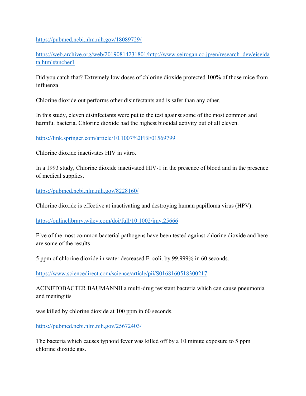<https://pubmed.ncbi.nlm.nih.gov/18089729/>

[https://web.archive.org/web/20190814231801/http://www.seirogan.co.jp/en/research\\_dev/eiseida](https://web.archive.org/web/20190814231801/http:/www.seirogan.co.jp/en/research_dev/eiseidata.html%23ancher1) [ta.html#ancher1](https://web.archive.org/web/20190814231801/http:/www.seirogan.co.jp/en/research_dev/eiseidata.html%23ancher1)

Did you catch that? Extremely low doses of chlorine dioxide protected 100% of those mice from influenza.

Chlorine dioxide out performs other disinfectants and is safer than any other.

In this study, eleven disinfectants were put to the test against some of the most common and harmful bacteria. Chlorine dioxide had the highest biocidal activity out of all eleven.

<https://link.springer.com/article/10.1007%2FBF01569799>

Chlorine dioxide inactivates HIV in vitro.

In a 1993 study, Chlorine dioxide inactivated HIV-1 in the presence of blood and in the presence of medical supplies.

<https://pubmed.ncbi.nlm.nih.gov/8228160/>

Chlorine dioxide is effective at inactivating and destroying human papilloma virus (HPV).

<https://onlinelibrary.wiley.com/doi/full/10.1002/jmv.25666>

Five of the most common bacterial pathogens have been tested against chlorine dioxide and here are some of the results

5 ppm of chlorine dioxide in water decreased E. coli. by 99.999% in 60 seconds.

<https://www.sciencedirect.com/science/article/pii/S0168160518300217>

ACINETOBACTER BAUMANNII a multi-drug resistant bacteria which can cause pneumonia and meningitis

was killed by chlorine dioxide at 100 ppm in 60 seconds.

<https://pubmed.ncbi.nlm.nih.gov/25672403/>

The bacteria which causes typhoid fever was killed off by a 10 minute exposure to 5 ppm chlorine dioxide gas.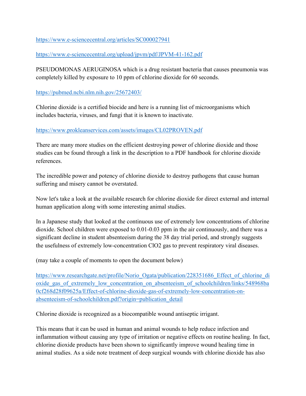#### <https://www.e-sciencecentral.org/articles/SC000027941>

#### <https://www.e-sciencecentral.org/upload/jpvm/pdf/JPVM-41-162.pdf>

PSEUDOMONAS AERUGINOSA which is a drug resistant bacteria that causes pneumonia was completely killed by exposure to 10 ppm of chlorine dioxide for 60 seconds.

#### <https://pubmed.ncbi.nlm.nih.gov/25672403/>

Chlorine dioxide is a certified biocide and here is a running list of microorganisms which includes bacteria, viruses, and fungi that it is known to inactivate.

#### <https://www.prokleanservices.com/assets/images/CL02PROVEN.pdf>

There are many more studies on the efficient destroying power of chlorine dioxide and those studies can be found through a link in the description to a PDF handbook for chlorine dioxide references.

The incredible power and potency of chlorine dioxide to destroy pathogens that cause human suffering and misery cannot be overstated.

Now let's take a look at the available research for chlorine dioxide for direct external and internal human application along with some interesting animal studies.

In a Japanese study that looked at the continuous use of extremely low concentrations of chlorine dioxide. School children were exposed to 0.01-0.03 ppm in the air continuously, and there was a significant decline in student absenteeism during the 38 day trial period, and strongly suggests the usefulness of extremely low-concentration ClO2 gas to prevent respiratory viral diseases.

(may take a couple of moments to open the document below)

[https://www.researchgate.net/profile/Norio\\_Ogata/publication/228351686\\_Effect\\_of\\_chlorine\\_di](https://www.researchgate.net/profile/Norio_Ogata/publication/228351686_Effect_of_chlorine_dioxide_gas_of_extremely_low_concentration_on_absenteeism_of_schoolchildren/links/548968ba0cf268d28f09625a/Effect-of-chlorine-dioxide-gas-of-extremely-low-concentration-on-absenteeism-of-schoolchildren.pdf?origin=publication_detail) [oxide\\_gas\\_of\\_extremely\\_low\\_concentration\\_on\\_absenteeism\\_of\\_schoolchildren/links/548968ba](https://www.researchgate.net/profile/Norio_Ogata/publication/228351686_Effect_of_chlorine_dioxide_gas_of_extremely_low_concentration_on_absenteeism_of_schoolchildren/links/548968ba0cf268d28f09625a/Effect-of-chlorine-dioxide-gas-of-extremely-low-concentration-on-absenteeism-of-schoolchildren.pdf?origin=publication_detail) [0cf268d28f09625a/Effect-of-chlorine-dioxide-gas-of-extremely-low-concentration-on](https://www.researchgate.net/profile/Norio_Ogata/publication/228351686_Effect_of_chlorine_dioxide_gas_of_extremely_low_concentration_on_absenteeism_of_schoolchildren/links/548968ba0cf268d28f09625a/Effect-of-chlorine-dioxide-gas-of-extremely-low-concentration-on-absenteeism-of-schoolchildren.pdf?origin=publication_detail)[absenteeism-of-schoolchildren.pdf?origin=publication\\_detail](https://www.researchgate.net/profile/Norio_Ogata/publication/228351686_Effect_of_chlorine_dioxide_gas_of_extremely_low_concentration_on_absenteeism_of_schoolchildren/links/548968ba0cf268d28f09625a/Effect-of-chlorine-dioxide-gas-of-extremely-low-concentration-on-absenteeism-of-schoolchildren.pdf?origin=publication_detail)

Chlorine dioxide is recognized as a biocompatible wound antiseptic irrigant.

This means that it can be used in human and animal wounds to help reduce infection and inflammation without causing any type of irritation or negative effects on routine healing. In fact, chlorine dioxide products have been shown to significantly improve wound healing time in animal studies. As a side note treatment of deep surgical wounds with chlorine dioxide has also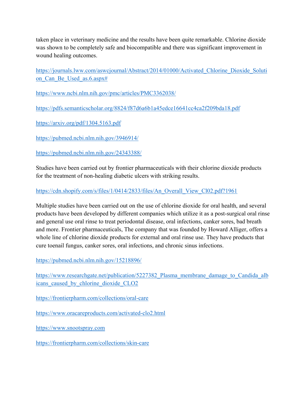taken place in veterinary medicine and the results have been quite remarkable. Chlorine dioxide was shown to be completely safe and biocompatible and there was significant improvement in wound healing outcomes.

[https://journals.lww.com/aswcjournal/Abstract/2014/01000/Activated\\_Chlorine\\_Dioxide\\_Soluti](https://journals.lww.com/aswcjournal/Abstract/2014/01000/Activated_Chlorine_Dioxide_Solution_Can_Be_Used_as.6.aspx%23) on Can Be Used as.6.aspx#

<https://www.ncbi.nlm.nih.gov/pmc/articles/PMC3362038/>

<https://pdfs.semanticscholar.org/8824/f87d6a6b1a45edce16641cc4ca2f209bda18.pdf>

<https://arxiv.org/pdf/1304.5163.pdf>

<https://pubmed.ncbi.nlm.nih.gov/3946914/>

<https://pubmed.ncbi.nlm.nih.gov/24343388/>

Studies have been carried out by frontier pharmaceuticals with their chlorine dioxide products for the treatment of non-healing diabetic ulcers with striking results.

[https://cdn.shopify.com/s/files/1/0414/2833/files/An\\_Overall\\_View\\_Cl02.pdf?1961](https://cdn.shopify.com/s/files/1/0414/2833/files/An_Overall_View_Cl02.pdf?1961%20)

Multiple studies have been carried out on the use of chlorine dioxide for oral health, and several products have been developed by different companies which utilize it as a post-surgical oral rinse and general use oral rinse to treat periodontal disease, oral infections, canker sores, bad breath and more. Frontier pharmaceuticals, The company that was founded by Howard Alliger, offers a whole line of chlorine dioxide products for external and oral rinse use. They have products that cure toenail fungus, canker sores, oral infections, and chronic sinus infections.

<https://pubmed.ncbi.nlm.nih.gov/15218896/>

https://www.researchgate.net/publication/5227382 Plasma membrane damage to Candida alb icans caused by chlorine dioxide CLO2

<https://frontierpharm.com/collections/oral-care>

<https://www.oracareproducts.com/activated-clo2.html>

[https://www.snootspray.com](https://www.snootspray.com/)

<https://frontierpharm.com/collections/skin-care>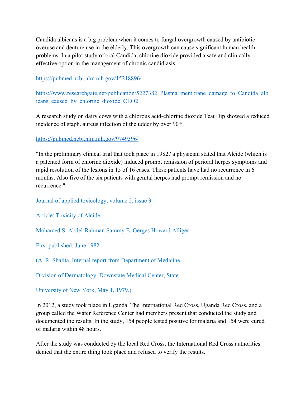Candida albicans is a big problem when it comes to fungal overgrowth caused by antibiotic overuse and denture use in the elderly. This overgrowth can cause significant human health problems. In a pilot study of oral Candida, chlorine dioxide provided a safe and clinically effective option in the management of chronic candidiasis.

#### <https://pubmed.ncbi.nlm.nih.gov/15218896/>

https://www.researchgate.net/publication/5227382 Plasma membrane damage to Candida alb icans caused by chlorine dioxide CLO2

A research study on dairy cows with a chlorous acid-chlorine dioxide Teat Dip showed a reduced incidence of staph. aureus infection of the udder by over 90%

<https://pubmed.ncbi.nlm.nih.gov/9749396/>

"In the preliminary clinical trial that took place in 1982,' a physician stated that Alcide (which is a patented form of chlorine dioxide) induced prompt remission of perioral herpes symptoms and rapid resolution of the lesions in 15 of 16 cases. These patients have had no recurrence in 6 months. Also five of the six patients with genital herpes had prompt remission and no recurrence."

Journal of applied toxicology, volume 2, issue 3

Article: Toxicity of Alcide

Mohamed S. Abdel‐Rahman Sammy E. Gerges Howard Alliger

First published: June 1982

(A. R. Shalita, Internal report from Department of Medicine,

Division of Dermatology, Downstate Medical Center, State

University of New York, May 1, 1979.)

In 2012, a study took place in Uganda. The International Red Cross, Uganda Red Cross, and a group called the Water Reference Center had members present that conducted the study and documented the results. In the study, 154 people tested positive for malaria and 154 were cured of malaria within 48 hours.

After the study was conducted by the local Red Cross, the International Red Cross authorities denied that the entire thing took place and refused to verify the results.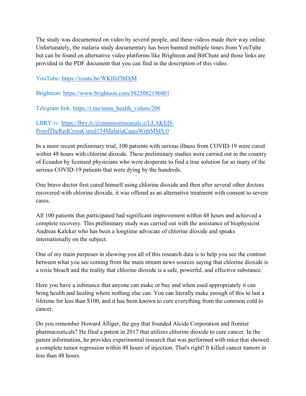The study was documented on video by several people, and these videos made their way online. Unfortunately, the malaria study documentary has been banned multiple times from YouTube but can be found on alternative video platforms like Brighteon and BitChute and those links are provided in the PDF document that you can find in the description of this video.

YouTube:<https://youtu.be/WKIfzf3hDjM>

Brighteon:<https://www.brighteon.com/5825082196001>

Telegram link: [https://t.me/mms\\_health\\_videos/206](https://t.me/mms_health_videos/206)

LBRY.tv: [https://lbry.tv/@mmstestimonials:e/LEAKED-](https://lbry.tv/@mmstestimonials:e/LEAKED-ProofTheRedCrossCured154MalariaCasesWithMMS:0)[ProofTheRedCrossCured154MalariaCasesWithMMS:0](https://lbry.tv/@mmstestimonials:e/LEAKED-ProofTheRedCrossCured154MalariaCasesWithMMS:0)

In a more recent preliminary trial, 100 patients with serious illness from COVID-19 were cured within 48 hours with chlorine dioxide. These preliminary studies were carried out in the country of Ecuador by licensed physicians who were desperate to find a true solution for so many of the serious COVID-19 patients that were dying by the hundreds.

One brave doctor first cured himself using chlorine dioxide and then after several other doctors recovered with chlorine dioxide, it was offered as an alternative treatment with consent to severe cases.

All 100 patients that participated had significant improvement within 48 hours and achieved a complete recovery. This preliminary study was carried out with the assistance of biophysicist Andreas Kalcker who has been a longtime advocate of chlorine dioxide and speaks internationally on the subject.

One of my main purposes in showing you all of this research data is to help you see the contrast between what you see coming from the main stream news sources saying that chlorine dioxide is a toxic bleach and the reality that chlorine dioxide is a safe, powerful, and effective substance.

Here you have a substance that anyone can make or buy and when used appropriately it can bring health and healing where nothing else can. You can literally make enough of this to last a lifetime for less than \$100, and it has been known to cure everything from the common cold to cancer.

Do you remember Howard Alliger, the guy that founded Alcide Corporation and frontier pharmaceuticals? He filed a patent in 2017 that utilizes chlorine dioxide to cure cancer. In the patent information, he provides experimental research that was performed with mice that showed a complete tumor regression within 48 hours of injection. That's right! It killed cancer tumors in less than 48 hours.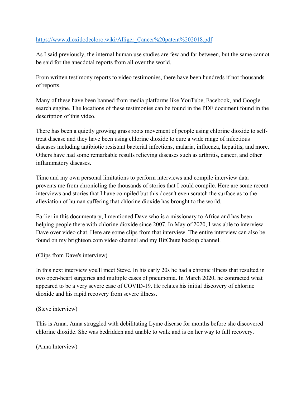#### [https://www.dioxidodecloro.wiki/Alliger\\_Cancer%20patent%202018.pdf](https://www.dioxidodecloro.wiki/Alliger_Cancer%20patent%202018.pdf)

As I said previously, the internal human use studies are few and far between, but the same cannot be said for the anecdotal reports from all over the world.

From written testimony reports to video testimonies, there have been hundreds if not thousands of reports.

Many of these have been banned from media platforms like YouTube, Facebook, and Google search engine. The locations of these testimonies can be found in the PDF document found in the description of this video.

There has been a quietly growing grass roots movement of people using chlorine dioxide to selftreat disease and they have been using chlorine dioxide to cure a wide range of infectious diseases including antibiotic resistant bacterial infections, malaria, influenza, hepatitis, and more. Others have had some remarkable results relieving diseases such as arthritis, cancer, and other inflammatory diseases.

Time and my own personal limitations to perform interviews and compile interview data prevents me from chronicling the thousands of stories that I could compile. Here are some recent interviews and stories that I have compiled but this doesn't even scratch the surface as to the alleviation of human suffering that chlorine dioxide has brought to the world.

Earlier in this documentary, I mentioned Dave who is a missionary to Africa and has been helping people there with chlorine dioxide since 2007. In May of 2020, I was able to interview Dave over video chat. Here are some clips from that interview. The entire interview can also be found on my brighteon.com video channel and my BitChute backup channel.

(Clips from Dave's interview)

In this next interview you'll meet Steve. In his early 20s he had a chronic illness that resulted in two open-heart surgeries and multiple cases of pneumonia. In March 2020, he contracted what appeared to be a very severe case of COVID-19. He relates his initial discovery of chlorine dioxide and his rapid recovery from severe illness.

(Steve interview)

This is Anna. Anna struggled with debilitating Lyme disease for months before she discovered chlorine dioxide. She was bedridden and unable to walk and is on her way to full recovery.

(Anna Interview)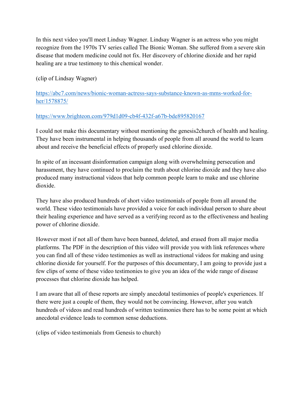In this next video you'll meet Lindsay Wagner. Lindsay Wagner is an actress who you might recognize from the 1970s TV series called The Bionic Woman. She suffered from a severe skin disease that modern medicine could not fix. Her discovery of chlorine dioxide and her rapid healing are a true testimony to this chemical wonder.

(clip of Lindsay Wagner)

[https://abc7.com/news/bionic-woman-actress-says-substance-known-as-mms-worked-for](https://abc7.com/news/bionic-woman-actress-says-substance-known-as-mms-worked-for-her/1578875/)[her/1578875/](https://abc7.com/news/bionic-woman-actress-says-substance-known-as-mms-worked-for-her/1578875/)

<https://www.brighteon.com/979d1d09-cb4f-432f-a67b-bde895820167>

I could not make this documentary without mentioning the genesis2church of health and healing. They have been instrumental in helping thousands of people from all around the world to learn about and receive the beneficial effects of properly used chlorine dioxide.

In spite of an incessant disinformation campaign along with overwhelming persecution and harassment, they have continued to proclaim the truth about chlorine dioxide and they have also produced many instructional videos that help common people learn to make and use chlorine dioxide.

They have also produced hundreds of short video testimonials of people from all around the world. These video testimonials have provided a voice for each individual person to share about their healing experience and have served as a verifying record as to the effectiveness and healing power of chlorine dioxide.

However most if not all of them have been banned, deleted, and erased from all major media platforms. The PDF in the description of this video will provide you with link references where you can find all of these video testimonies as well as instructional videos for making and using chlorine dioxide for yourself. For the purposes of this documentary, I am going to provide just a few clips of some of these video testimonies to give you an idea of the wide range of disease processes that chlorine dioxide has helped.

I am aware that all of these reports are simply anecdotal testimonies of people's experiences. If there were just a couple of them, they would not be convincing. However, after you watch hundreds of videos and read hundreds of written testimonies there has to be some point at which anecdotal evidence leads to common sense deductions.

(clips of video testimonials from Genesis to church)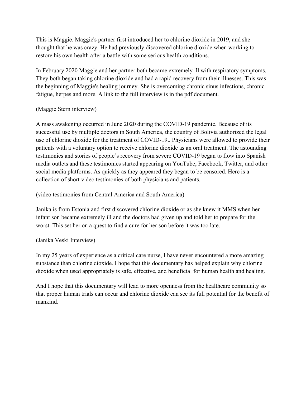This is Maggie. Maggie's partner first introduced her to chlorine dioxide in 2019, and she thought that he was crazy. He had previously discovered chlorine dioxide when working to restore his own health after a battle with some serious health conditions.

In February 2020 Maggie and her partner both became extremely ill with respiratory symptoms. They both began taking chlorine dioxide and had a rapid recovery from their illnesses. This was the beginning of Maggie's healing journey. She is overcoming chronic sinus infections, chronic fatigue, herpes and more. A link to the full interview is in the pdf document.

(Maggie Stern interview)

A mass awakening occurred in June 2020 during the COVID-19 pandemic. Because of its successful use by multiple doctors in South America, the country of Bolivia authorized the legal use of chlorine dioxide for the treatment of COVID-19.. Physicians were allowed to provide their patients with a voluntary option to receive chlorine dioxide as an oral treatment. The astounding testimonies and stories of people's recovery from severe COVID-19 began to flow into Spanish media outlets and these testimonies started appearing on YouTube, Facebook, Twitter, and other social media platforms. As quickly as they appeared they began to be censored. Here is a collection of short video testimonies of both physicians and patients.

(video testimonies from Central America and South America)

Janika is from Estonia and first discovered chlorine dioxide or as she knew it MMS when her infant son became extremely ill and the doctors had given up and told her to prepare for the worst. This set her on a quest to find a cure for her son before it was too late.

(Janika Veski Interview)

In my 25 years of experience as a critical care nurse, I have never encountered a more amazing substance than chlorine dioxide. I hope that this documentary has helped explain why chlorine dioxide when used appropriately is safe, effective, and beneficial for human health and healing.

And I hope that this documentary will lead to more openness from the healthcare community so that proper human trials can occur and chlorine dioxide can see its full potential for the benefit of mankind.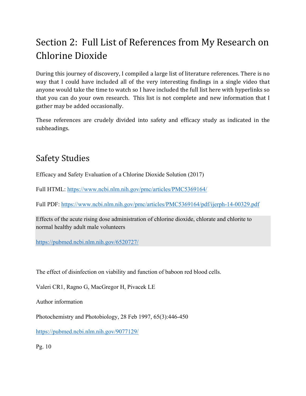## <span id="page-32-0"></span>Section 2: Full List of References from My Research on Chlorine Dioxide

During this journey of discovery, I compiled a large list of literature references. There is no way that I could have included all of the very interesting findings in a single video that anyone would take the time to watch so I have included the full list here with hyperlinks so that you can do your own research. This list is not complete and new information that I gather may be added occasionally.

These references are crudely divided into safety and efficacy study as indicated in the subheadings.

## Safety Studies

Efficacy and Safety Evaluation of a Chlorine Dioxide Solution (2017)

Full HTML:<https://www.ncbi.nlm.nih.gov/pmc/articles/PMC5369164/>

Full PDF:<https://www.ncbi.nlm.nih.gov/pmc/articles/PMC5369164/pdf/ijerph-14-00329.pdf>

Effects of the acute rising dose administration of chlorine dioxide, chlorate and chlorite to normal healthy adult male volunteers

<https://pubmed.ncbi.nlm.nih.gov/6520727/>

The effect of disinfection on viability and function of baboon red blood cells.

Valeri CR1, Ragno G, MacGregor H, Pivacek LE

Author information

Photochemistry and Photobiology, 28 Feb 1997, 65(3):446-450

<https://pubmed.ncbi.nlm.nih.gov/9077129/>

Pg. 10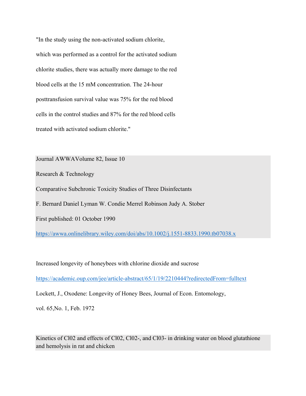"In the study using the non-activated sodium chlorite, which was performed as a control for the activated sodium chlorite studies, there was actually more damage to the red blood cells at the 15 mM concentration. The 24-hour posttransfusion survival value was 75% for the red blood cells in the control studies and 87% for the red blood cells treated with activated sodium chlorite."

Journal AWWAVolume 82, Issue 10

Research & Technology

Comparative Subchronic Toxicity Studies of Three Disinfectants

F. Bernard Daniel Lyman W. Condie Merrel Robinson Judy A. Stober

First published: 01 October 1990

<https://awwa.onlinelibrary.wiley.com/doi/abs/10.1002/j.1551-8833.1990.tb07038.x>

Increased longevity of honeybees with chlorine dioxide and sucrose

[https://academic.oup.com/jee/article-abstract/65/1/19/2210444?redirectedFrom=fulltext](https://academic.oup.com/jee/article-abstract/65/1/19/2210444?redirectedFrom=fulltext%20)

Lockett, J., Oxodene: Longevity of Honey Bees, Journal of Econ. Entomology,

vol. 65,No. 1, Feb. 1972

Kinetics of Cl02 and effects of Cl02, Cl02-, and Cl03- in drinking water on blood glutathione and hemolysis in rat and chicken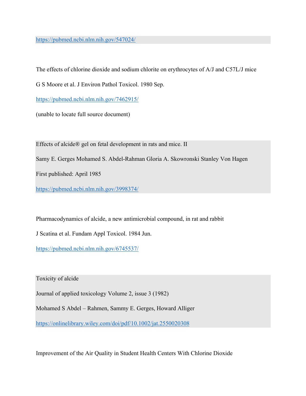#### <https://pubmed.ncbi.nlm.nih.gov/547024/>

The effects of chlorine dioxide and sodium chlorite on erythrocytes of A/J and C57L/J mice

G S Moore et al. J Environ Pathol Toxicol. 1980 Sep.

<https://pubmed.ncbi.nlm.nih.gov/7462915/>

(unable to locate full source document)

Effects of alcide® gel on fetal development in rats and mice. II

Samy E. Gerges Mohamed S. Abdel‐Rahman Gloria A. Skowronski Stanley Von Hagen

First published: April 1985

<https://pubmed.ncbi.nlm.nih.gov/3998374/>

Pharmacodynamics of alcide, a new antimicrobial compound, in rat and rabbit

J Scatina et al. Fundam Appl Toxicol. 1984 Jun.

<https://pubmed.ncbi.nlm.nih.gov/6745537/>

Toxicity of alcide

Journal of applied toxicology Volume 2, issue 3 (1982)

Mohamed S Abdel – Rahmen, Sammy E. Gerges, Howard Alliger

<https://onlinelibrary.wiley.com/doi/pdf/10.1002/jat.2550020308>

Improvement of the Air Quality in Student Health Centers With Chlorine Dioxide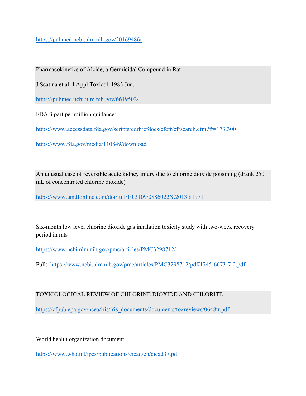<https://pubmed.ncbi.nlm.nih.gov/20169486/>

Pharmacokinetics of Alcide, a Germicidal Compound in Rat

J Scatina et al. J Appl Toxicol. 1983 Jun.

<https://pubmed.ncbi.nlm.nih.gov/6619502/>

FDA 3 part per million guidance:

[https://www.accessdata.fda.gov/scripts/cdrh/cfdocs/cfcfr/cfrsearch.cfm?fr=173.300](https://www.accessdata.fda.gov/scripts/cdrh/cfdocs/cfcfr/cfrsearch.cfm?fr=173.300%20)

<https://www.fda.gov/media/110849/download>

An unusual case of reversible acute kidney injury due to chlorine dioxide poisoning (drank 250 mL of concentrated chlorine dioxide)

<https://www.tandfonline.com/doi/full/10.3109/0886022X.2013.819711>

Six-month low level chlorine dioxide gas inhalation toxicity study with two-week recovery period in rats

<https://www.ncbi.nlm.nih.gov/pmc/articles/PMC3298712/>

Full: <https://www.ncbi.nlm.nih.gov/pmc/articles/PMC3298712/pdf/1745-6673-7-2.pdf>

#### TOXICOLOGICAL REVIEW OF CHLORINE DIOXIDE AND CHLORITE

[https://cfpub.epa.gov/ncea/iris/iris\\_documents/documents/toxreviews/0648tr.pdf](https://cfpub.epa.gov/ncea/iris/iris_documents/documents/toxreviews/0648tr.pdf)

World health organization document

<https://www.who.int/ipcs/publications/cicad/en/cicad37.pdf>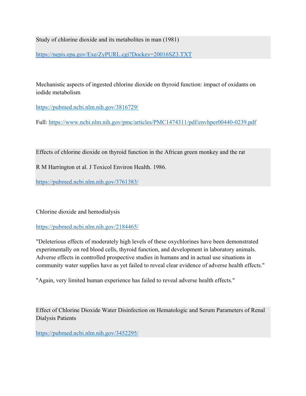Study of chlorine dioxide and its metabolites in man (1981)

<https://nepis.epa.gov/Exe/ZyPURL.cgi?Dockey=20016SZ3.TXT>

Mechanistic aspects of ingested chlorine dioxide on thyroid function: impact of oxidants on iodide metabolism

<https://pubmed.ncbi.nlm.nih.gov/3816729/>

Full:<https://www.ncbi.nlm.nih.gov/pmc/articles/PMC1474311/pdf/envhper00440-0239.pdf>

Effects of chlorine dioxide on thyroid function in the African green monkey and the rat

R M Harrington et al. J Toxicol Environ Health. 1986.

<https://pubmed.ncbi.nlm.nih.gov/3761383/>

Chlorine dioxide and hemodialysis

<https://pubmed.ncbi.nlm.nih.gov/2184465/>

"Deleterious effects of moderately high levels of these oxychlorines have been demonstrated experimentally on red blood cells, thyroid function, and development in laboratory animals. Adverse effects in controlled prospective studies in humans and in actual use situations in community water supplies have as yet failed to reveal clear evidence of adverse health effects."

"Again, very limited human experience has failed to reveal adverse health effects."

Effect of Chlorine Dioxide Water Disinfection on Hematologic and Serum Parameters of Renal Dialysis Patients

<https://pubmed.ncbi.nlm.nih.gov/3452295/>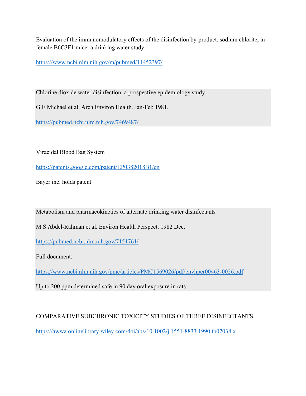Evaluation of the immunomodulatory effects of the disinfection by-product, sodium chlorite, in female B6C3F1 mice: a drinking water study.

<https://www.ncbi.nlm.nih.gov/m/pubmed/11452397/>

Chlorine dioxide water disinfection: a prospective epidemiology study

G E Michael et al. Arch Environ Health. Jan-Feb 1981.

<https://pubmed.ncbi.nlm.nih.gov/7469487/>

Viracidal Blood Bag System

<https://patents.google.com/patent/EP0382018B1/en>

Bayer inc. holds patent

Metabolism and pharmacokinetics of alternate drinking water disinfectants

M S Abdel-Rahman et al. Environ Health Perspect. 1982 Dec.

<https://pubmed.ncbi.nlm.nih.gov/7151761/>

Full document:

<https://www.ncbi.nlm.nih.gov/pmc/articles/PMC1569026/pdf/envhper00463-0026.pdf>

Up to 200 ppm determined safe in 90 day oral exposure in rats.

### COMPARATIVE SUBCHRONIC TOXICITY STUDIES OF THREE DISINFECTANTS

<https://awwa.onlinelibrary.wiley.com/doi/abs/10.1002/j.1551-8833.1990.tb07038.x>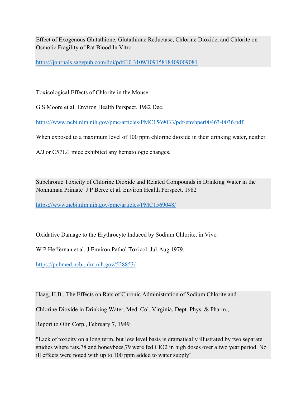Effect of Exogenous Glutathione, Glutathione Reductase, Chlorine Dioxide, and Chlorite on Osmotic Fragility of Rat Blood In Vitro

<https://journals.sagepub.com/doi/pdf/10.3109/10915818409009081>

Toxicological Effects of Chlorite in the Mouse

G S Moore et al. Environ Health Perspect. 1982 Dec.

<https://www.ncbi.nlm.nih.gov/pmc/articles/PMC1569033/pdf/envhper00463-0036.pdf>

When exposed to a maximum level of 100 ppm chlorine dioxide in their drinking water, neither

A/J or C57L/J mice exhibited any hematologic changes.

Subchronic Toxicity of Chlorine Dioxide and Related Compounds in Drinking Water in the Nonhuman Primate J P Bercz et al. Environ Health Perspect. 1982

<https://www.ncbi.nlm.nih.gov/pmc/articles/PMC1569048/>

Oxidative Damage to the Erythrocyte Induced by Sodium Chlorite, in Vivo

W P Heffernan et al. J Environ Pathol Toxicol. Jul-Aug 1979.

<https://pubmed.ncbi.nlm.nih.gov/528853/>

Haag, H.B., The Effects on Rats of Chronic Administration of Sodium Chlorite and

Chlorine Dioxide in Drinking Water, Med. Col. Virginia, Dept. Phys, & Pharm.,

Report to Olin Corp., February 7, 1949

"Lack of toxicity on a long term, but low level basis is dramatically illustrated by two separate studies where rats,78 and honeybees,79 were fed ClO2 in high doses over a two year period. No ill effects were noted with up to 100 ppm added to water supply"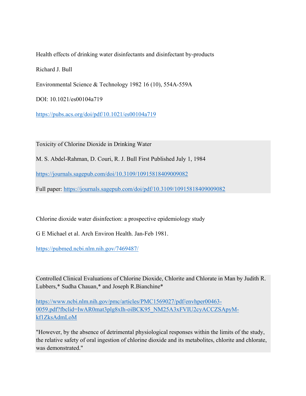Health effects of drinking water disinfectants and disinfectant by-products

Richard J. Bull

Environmental Science & Technology 1982 16 (10), 554A-559A

DOI: 10.1021/es00104a719

<https://pubs.acs.org/doi/pdf/10.1021/es00104a719>

Toxicity of Chlorine Dioxide in Drinking Water

M. S. Abdel-Rahman, D. Couri, R. J. Bull First Published July 1, 1984

<https://journals.sagepub.com/doi/10.3109/10915818409009082>

Full paper:<https://journals.sagepub.com/doi/pdf/10.3109/10915818409009082>

Chlorine dioxide water disinfection: a prospective epidemiology study

G E Michael et al. Arch Environ Health. Jan-Feb 1981.

<https://pubmed.ncbi.nlm.nih.gov/7469487/>

Controlled Clinical Evaluations of Chlorine Dioxide, Chlorite and Chlorate in Man by Judith R. Lubbers,\* Sudha Chauan,\* and Joseph R.Bianchine\*

[https://www.ncbi.nlm.nih.gov/pmc/articles/PMC1569027/pdf/envhper00463-](https://www.ncbi.nlm.nih.gov/pmc/articles/PMC1569027/pdf/envhper00463-0059.pdf?fbclid=IwAR0mat3plg8xlh-oiBCK95_NM25A3xFVIU2cyACCZSApyM-kf1ZksAdmLoM%20) [0059.pdf?fbclid=IwAR0mat3plg8xlh-oiBCK95\\_NM25A3xFVIU2cyACCZSApyM](https://www.ncbi.nlm.nih.gov/pmc/articles/PMC1569027/pdf/envhper00463-0059.pdf?fbclid=IwAR0mat3plg8xlh-oiBCK95_NM25A3xFVIU2cyACCZSApyM-kf1ZksAdmLoM%20)[kf1ZksAdmLoM](https://www.ncbi.nlm.nih.gov/pmc/articles/PMC1569027/pdf/envhper00463-0059.pdf?fbclid=IwAR0mat3plg8xlh-oiBCK95_NM25A3xFVIU2cyACCZSApyM-kf1ZksAdmLoM%20)

"However, by the absence of detrimental physiological responses within the limits of the study, the relative safety of oral ingestion of chlorine dioxide and its metabolites, chlorite and chlorate, was demonstrated."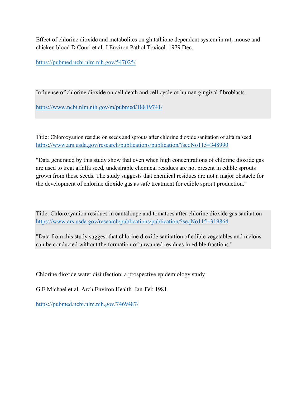Effect of chlorine dioxide and metabolites on glutathione dependent system in rat, mouse and chicken blood D Couri et al. J Environ Pathol Toxicol. 1979 Dec.

<https://pubmed.ncbi.nlm.nih.gov/547025/>

Influence of chlorine dioxide on cell death and cell cycle of human gingival fibroblasts.

<https://www.ncbi.nlm.nih.gov/m/pubmed/18819741/>

Title: Chloroxyanion residue on seeds and sprouts after chlorine dioxide sanitation of alfalfa seed [https://www.ars.usda.gov/research/publications/publication/?seqNo115=348990](https://www.ars.usda.gov/research/publications/publication/?seqNo115=348990%20)

"Data generated by this study show that even when high concentrations of chlorine dioxide gas are used to treat alfalfa seed, undesirable chemical residues are not present in edible sprouts grown from those seeds. The study suggests that chemical residues are not a major obstacle for the development of chlorine dioxide gas as safe treatment for edible sprout production."

Title: Chloroxyanion residues in cantaloupe and tomatoes after chlorine dioxide gas sanitation [https://www.ars.usda.gov/research/publications/publication/?seqNo115=319864](https://www.ars.usda.gov/research/publications/publication/?seqNo115=319864%20)

"Data from this study suggest that chlorine dioxide sanitation of edible vegetables and melons can be conducted without the formation of unwanted residues in edible fractions."

Chlorine dioxide water disinfection: a prospective epidemiology study

G E Michael et al. Arch Environ Health. Jan-Feb 1981.

<https://pubmed.ncbi.nlm.nih.gov/7469487/>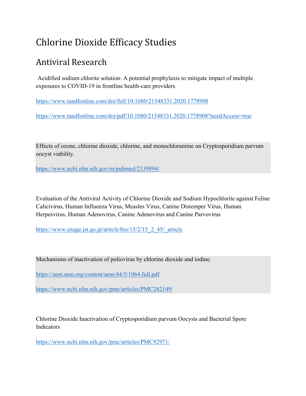# Chlorine Dioxide Efficacy Studies

# Antiviral Research

Acidified sodium chlorite solution: A potential prophylaxis to mitigate impact of multiple exposures to COVID-19 in frontline health-care providers

<https://www.tandfonline.com/doi/full/10.1080/21548331.2020.1778908>

[https://www.tandfonline.com/doi/pdf/10.1080/21548331.2020.1778908?needAccess=true](https://www.tandfonline.com/doi/pdf/10.1080/21548331.2020.1778908?needAccess=true%20)

Effects of ozone, chlorine dioxide, chlorine, and monochloramine on Cryptosporidium parvum oocyst viability.

<https://www.ncbi.nlm.nih.gov/m/pubmed/2339894/>

Evaluation of the Antiviral Activity of Chlorine Dioxide and Sodium Hypochlorite against Feline Calicivirus, Human Influenza Virus, Measles Virus, Canine Distemper Virus, Human Herpesvirus, Human Adenovirus, Canine Adenovirus and Canine Parvovirus

[https://www.jstage.jst.go.jp/article/bio/15/2/15\\_2\\_45/\\_article](https://www.jstage.jst.go.jp/article/bio/15/2/15_2_45/_article)

Mechanisms of inactivation of poliovirus by chlorine dioxide and iodine.

<https://aem.asm.org/content/aem/44/5/1064.full.pdf>

<https://www.ncbi.nlm.nih.gov/pmc/articles/PMC242149/>

Chlorine Dioxide Inactivation of Cryptosporidium parvum Oocysts and Bacterial Spore Indicators

<https://www.ncbi.nlm.nih.gov/pmc/articles/PMC92971/>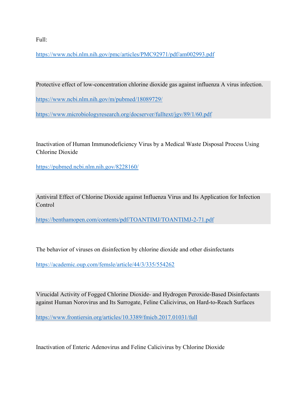Full:

<https://www.ncbi.nlm.nih.gov/pmc/articles/PMC92971/pdf/am002993.pdf>

Protective effect of low-concentration chlorine dioxide gas against influenza A virus infection.

<https://www.ncbi.nlm.nih.gov/m/pubmed/18089729/>

<https://www.microbiologyresearch.org/docserver/fulltext/jgv/89/1/60.pdf>

Inactivation of Human Immunodeficiency Virus by a Medical Waste Disposal Process Using Chlorine Dioxide

<https://pubmed.ncbi.nlm.nih.gov/8228160/>

Antiviral Effect of Chlorine Dioxide against Influenza Virus and Its Application for Infection Control

<https://benthamopen.com/contents/pdf/TOANTIMJ/TOANTIMJ-2-71.pdf>

The behavior of viruses on disinfection by chlorine dioxide and other disinfectants

<https://academic.oup.com/femsle/article/44/3/335/554262>

Virucidal Activity of Fogged Chlorine Dioxide- and Hydrogen Peroxide-Based Disinfectants against Human Norovirus and Its Surrogate, Feline Calicivirus, on Hard-to-Reach Surfaces

<https://www.frontiersin.org/articles/10.3389/fmicb.2017.01031/full>

Inactivation of Enteric Adenovirus and Feline Calicivirus by Chlorine Dioxide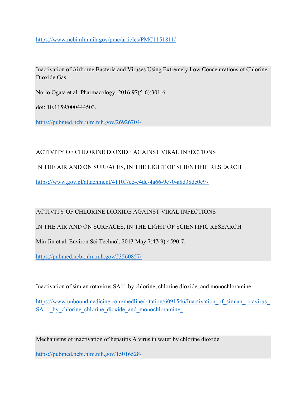<https://www.ncbi.nlm.nih.gov/pmc/articles/PMC1151811/>

Inactivation of Airborne Bacteria and Viruses Using Extremely Low Concentrations of Chlorine Dioxide Gas

Norio Ogata et al. Pharmacology. 2016;97(5-6):301-6.

doi: 10.1159/000444503.

<https://pubmed.ncbi.nlm.nih.gov/26926704/>

### ACTIVITY OF CHLORINE DIOXIDE AGAINST VIRAL INFECTIONS

### IN THE AIR AND ON SURFACES, IN THE LIGHT OF SCIENTIFIC RESEARCH

<https://www.gov.pl/attachment/4110f7ee-c4dc-4a66-9e70-a8d38dc0c97>

### ACTIVITY OF CHLORINE DIOXIDE AGAINST VIRAL INFECTIONS

### IN THE AIR AND ON SURFACES, IN THE LIGHT OF SCIENTIFIC RESEARCH

Min Jin et al. Environ Sci Technol. 2013 May 7;47(9):4590-7.

<https://pubmed.ncbi.nlm.nih.gov/23560857/>

Inactivation of simian rotavirus SA11 by chlorine, chlorine dioxide, and monochloramine.

[https://www.unboundmedicine.com/medline/citation/6091546/Inactivation\\_of\\_simian\\_rotavirus\\_](https://www.unboundmedicine.com/medline/citation/6091546/Inactivation_of_simian_rotavirus_SA11_by_chlorine_chlorine_dioxide_and_monochloramine_) SA11 by chlorine chlorine dioxide and monochloramine

Mechanisms of inactivation of hepatitis A virus in water by chlorine dioxide

<https://pubmed.ncbi.nlm.nih.gov/15016528/>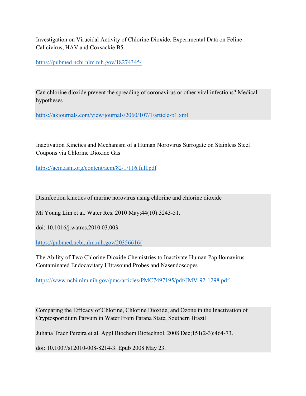Investigation on Virucidal Activity of Chlorine Dioxide. Experimental Data on Feline Calicivirus, HAV and Coxsackie B5

<https://pubmed.ncbi.nlm.nih.gov/18274345/>

Can chlorine dioxide prevent the spreading of coronavirus or other viral infections? Medical hypotheses

<https://akjournals.com/view/journals/2060/107/1/article-p1.xml>

Inactivation Kinetics and Mechanism of a Human Norovirus Surrogate on Stainless Steel Coupons via Chlorine Dioxide Gas

<https://aem.asm.org/content/aem/82/1/116.full.pdf>

Disinfection kinetics of murine norovirus using chlorine and chlorine dioxide

Mi Young Lim et al. Water Res. 2010 May;44(10):3243-51.

doi: 10.1016/j.watres.2010.03.003.

<https://pubmed.ncbi.nlm.nih.gov/20356616/>

The Ability of Two Chlorine Dioxide Chemistries to Inactivate Human Papillomavirus-Contaminated Endocavitary Ultrasound Probes and Nasendoscopes

<https://www.ncbi.nlm.nih.gov/pmc/articles/PMC7497195/pdf/JMV-92-1298.pdf>

Comparing the Efficacy of Chlorine, Chlorine Dioxide, and Ozone in the Inactivation of Cryptosporidium Parvum in Water From Parana State, Southern Brazil

Juliana Tracz Pereira et al. Appl Biochem Biotechnol. 2008 Dec;151(2-3):464-73.

doi: 10.1007/s12010-008-8214-3. Epub 2008 May 23.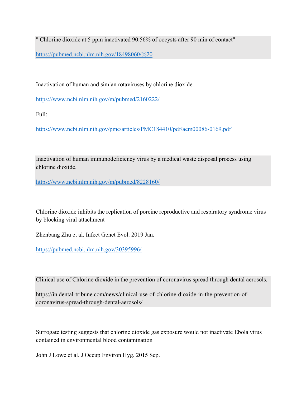" Chlorine dioxide at 5 ppm inactivated 90.56% of oocysts after 90 min of contact"

[https://pubmed.ncbi.nlm.nih.gov/18498060/%20](https://pubmed.ncbi.nlm.nih.gov/18498060/)

Inactivation of human and simian rotaviruses by chlorine dioxide.

<https://www.ncbi.nlm.nih.gov/m/pubmed/2160222/>

Full:

<https://www.ncbi.nlm.nih.gov/pmc/articles/PMC184410/pdf/aem00086-0169.pdf>

Inactivation of human immunodeficiency virus by a medical waste disposal process using chlorine dioxide.

<https://www.ncbi.nlm.nih.gov/m/pubmed/8228160/>

Chlorine dioxide inhibits the replication of porcine reproductive and respiratory syndrome virus by blocking viral attachment

Zhenbang Zhu et al. Infect Genet Evol. 2019 Jan.

<https://pubmed.ncbi.nlm.nih.gov/30395996/>

Clinical use of Chlorine dioxide in the prevention of coronavirus spread through dental aerosols.

https://in.dental-tribune.com/news/clinical-use-of-chlorine-dioxide-in-the-prevention-ofcoronavirus-spread-through-dental-aerosols/

Surrogate testing suggests that chlorine dioxide gas exposure would not inactivate Ebola virus contained in environmental blood contamination

John J Lowe et al. J Occup Environ Hyg. 2015 Sep.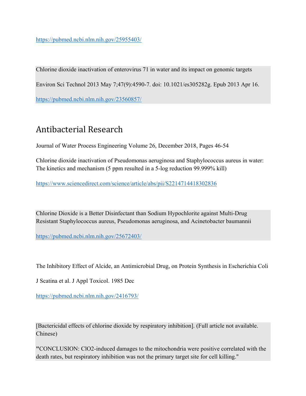<https://pubmed.ncbi.nlm.nih.gov/25955403/>

Chlorine dioxide inactivation of enterovirus 71 in water and its impact on genomic targets Environ Sci Technol 2013 May 7;47(9):4590-7. doi: 10.1021/es305282g. Epub 2013 Apr 16. <https://pubmed.ncbi.nlm.nih.gov/23560857/>

# Antibacterial Research

Journal of Water Process Engineering Volume 26, December 2018, Pages 46-54

Chlorine dioxide inactivation of Pseudomonas aeruginosa and Staphylococcus aureus in water: The kinetics and mechanism (5 ppm resulted in a 5-log reduction 99.999% kill)

<https://www.sciencedirect.com/science/article/abs/pii/S2214714418302836>

Chlorine Dioxide is a Better Disinfectant than Sodium Hypochlorite against Multi-Drug Resistant Staphylococcus aureus, Pseudomonas aeruginosa, and Acinetobacter baumannii

<https://pubmed.ncbi.nlm.nih.gov/25672403/>

The Inhibitory Effect of Alcide, an Antimicrobial Drug, on Protein Synthesis in Escherichia Coli

J Scatina et al. J Appl Toxicol. 1985 Dec

<https://pubmed.ncbi.nlm.nih.gov/2416793/>

[Bactericidal effects of chlorine dioxide by respiratory inhibition]. (Full article not available. Chinese)

**"**CONCLUSION: ClO2-induced damages to the mitochondria were positive correlated with the death rates, but respiratory inhibition was not the primary target site for cell killing."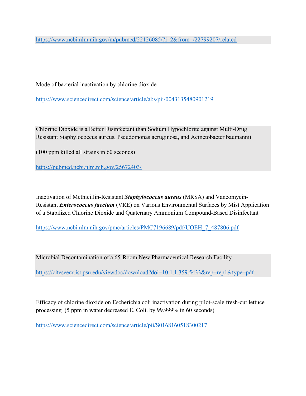[https://www.ncbi.nlm.nih.gov/m/pubmed/22126085/?i=2&from=/22799207/related](https://www.ncbi.nlm.nih.gov/m/pubmed/22126085/?i=2&from=/22799207/related%20)

Mode of bacterial inactivation by chlorine dioxide

<https://www.sciencedirect.com/science/article/abs/pii/0043135480901219>

Chlorine Dioxide is a Better Disinfectant than Sodium Hypochlorite against Multi-Drug Resistant Staphylococcus aureus, Pseudomonas aeruginosa, and Acinetobacter baumannii

(100 ppm killed all strains in 60 seconds)

<https://pubmed.ncbi.nlm.nih.gov/25672403/>

Inactivation of Methicillin-Resistant *Staphylococcus aureus* (MRSA) and Vancomycin-Resistant *Enterococcus faecium* (VRE) on Various Environmental Surfaces by Mist Application of a Stabilized Chlorine Dioxide and Quaternary Ammonium Compound-Based Disinfectant

[https://www.ncbi.nlm.nih.gov/pmc/articles/PMC7196689/pdf/UOEH\\_7\\_487806.pdf](https://www.ncbi.nlm.nih.gov/pmc/articles/PMC7196689/pdf/UOEH_7_487806.pdf)

Microbial Decontamination of a 65-Room New Pharmaceutical Research Facility

[https://citeseerx.ist.psu.edu/viewdoc/download?doi=10.1.1.359.5433&rep=rep1&type=pdf](https://citeseerx.ist.psu.edu/viewdoc/download?doi=10.1.1.359.5433&rep=rep1&type=pdf%20)

Efficacy of chlorine dioxide on Escherichia coli inactivation during pilot-scale fresh-cut lettuce processing (5 ppm in water decreased E. Coli. by 99.999% in 60 seconds)

<https://www.sciencedirect.com/science/article/pii/S0168160518300217>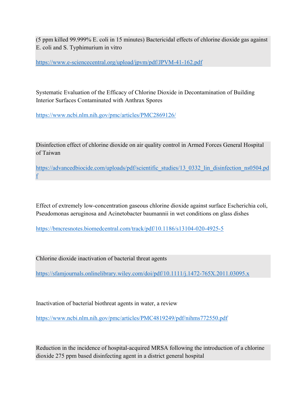(5 ppm killed 99.999% E. coli in 15 minutes) Bactericidal effects of chlorine dioxide gas against E. coli and S. Typhimurium in vitro

<https://www.e-sciencecentral.org/upload/jpvm/pdf/JPVM-41-162.pdf>

Systematic Evaluation of the Efficacy of Chlorine Dioxide in Decontamination of Building Interior Surfaces Contaminated with Anthrax Spores

<https://www.ncbi.nlm.nih.gov/pmc/articles/PMC2869126/>

Disinfection effect of chlorine dioxide on air quality control in Armed Forces General Hospital of Taiwan

[https://advancedbiocide.com/uploads/pdf/scientific\\_studies/13\\_0332\\_lin\\_disinfection\\_ns0504.pd](https://advancedbiocide.com/uploads/pdf/scientific_studies/13_0332_lin_disinfection_ns0504.pdf) [f](https://advancedbiocide.com/uploads/pdf/scientific_studies/13_0332_lin_disinfection_ns0504.pdf)

Effect of extremely low-concentration gaseous chlorine dioxide against surface Escherichia coli, Pseudomonas aeruginosa and Acinetobacter baumannii in wet conditions on glass dishes

<https://bmcresnotes.biomedcentral.com/track/pdf/10.1186/s13104-020-4925-5>

Chlorine dioxide inactivation of bacterial threat agents

<https://sfamjournals.onlinelibrary.wiley.com/doi/pdf/10.1111/j.1472-765X.2011.03095.x>

Inactivation of bacterial biothreat agents in water, a review

<https://www.ncbi.nlm.nih.gov/pmc/articles/PMC4819249/pdf/nihms772550.pdf>

Reduction in the incidence of hospital-acquired MRSA following the introduction of a chlorine dioxide 275 ppm based disinfecting agent in a district general hospital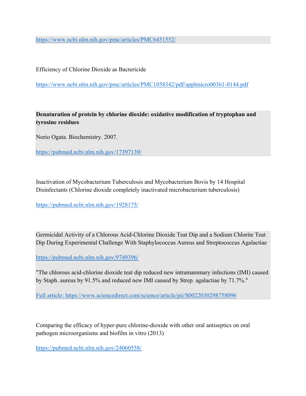<https://www.ncbi.nlm.nih.gov/pmc/articles/PMC6451552/>

Efficiency of Chlorine Dioxide as Bactericide

<https://www.ncbi.nlm.nih.gov/pmc/articles/PMC1058342/pdf/applmicro00361-0144.pdf>

**Denaturation of protein by chlorine dioxide: oxidative modification of tryptophan and tyrosine residues** 

Norio Ogata. Biochemistry. 2007.

<https://pubmed.ncbi.nlm.nih.gov/17397139/>

Inactivation of Mycobacterium Tuberculosis and Mycobacterium Bovis by 14 Hospital Disinfectants (Chlorine dioxide completely inactivated microbacterium tuberculosis)

<https://pubmed.ncbi.nlm.nih.gov/1928175/>

Germicidal Activity of a Chlorous Acid-Chlorine Dioxide Teat Dip and a Sodium Chlorite Teat Dip During Experimental Challenge With Staphylococcus Aureus and Streptococcus Agalactiae

<https://pubmed.ncbi.nlm.nih.gov/9749396/>

"The chlorous acid-chlorine dioxide teat dip reduced new intramammary infections (IMI) caused by Staph. aureus by 91.5% and reduced new IMI caused by Strep. agalactiae by 71.7%."

Full article: https://www.sciencedirect.com/science/article/pii/S0022030298758096

Comparing the efficacy of hyper-pure chlorine-dioxide with other oral antiseptics on oral pathogen microorganisms and biofilm in vitro (2013)

<https://pubmed.ncbi.nlm.nih.gov/24060558/>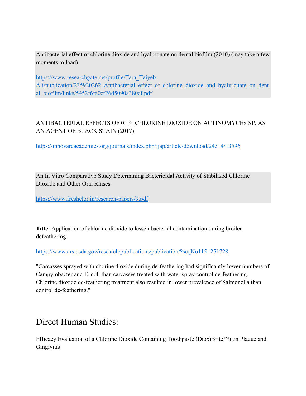Antibacterial effect of chlorine dioxide and hyaluronate on dental biofilm (2010) (may take a few moments to load)

[https://www.researchgate.net/profile/Tara\\_Taiyeb-](https://www.researchgate.net/profile/Tara_Taiyeb-Ali/publication/235920262_Antibacterial_effect_of_chlorine_dioxide_and_hyaluronate_on_dental_biofilm/links/5452f6fa0cf26d5090a380cf.pdf)Ali/publication/235920262 Antibacterial effect of chlorine dioxide and hyaluronate on dent [al\\_biofilm/links/5452f6fa0cf26d5090a380cf.pdf](https://www.researchgate.net/profile/Tara_Taiyeb-Ali/publication/235920262_Antibacterial_effect_of_chlorine_dioxide_and_hyaluronate_on_dental_biofilm/links/5452f6fa0cf26d5090a380cf.pdf)

### ANTIBACTERIAL EFFECTS OF 0.1% CHLORINE DIOXIDE ON ACTINOMYCES SP. AS AN AGENT OF BLACK STAIN (2017)

<https://innovareacademics.org/journals/index.php/ijap/article/download/24514/13596>

An In Vitro Comparative Study Determining Bactericidal Activity of Stabilized Chlorine Dioxide and Other Oral Rinses

<https://www.freshclor.in/research-papers/9.pdf>

**Title:** Application of chlorine dioxide to lessen bacterial contamination during broiler defeathering

[https://www.ars.usda.gov/research/publications/publication/?seqNo115=251728](https://www.ars.usda.gov/research/publications/publication/?seqNo115=251728%20)

"Carcasses sprayed with chorine dioxide during de-feathering had significantly lower numbers of Campylobacter and E. coli than carcasses treated with water spray control de-feathering. Chlorine dioxide de-feathering treatment also resulted in lower prevalence of Salmonella than control de-feathering."

## Direct Human Studies:

Efficacy Evaluation of a Chlorine Dioxide Containing Toothpaste (DioxiBrite™) on Plaque and **Gingivitis**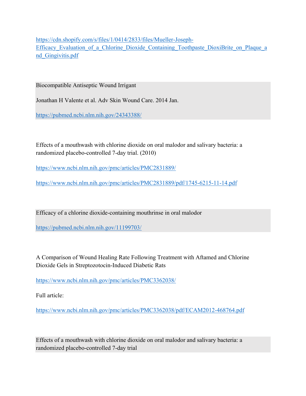[https://cdn.shopify.com/s/files/1/0414/2833/files/Mueller-Joseph-](https://cdn.shopify.com/s/files/1/0414/2833/files/Mueller-Joseph-Efficacy_Evaluation_of_a_Chlorine_Dioxide_Containing_Toothpaste_DioxiBrite_on_Plaque_and_Gingivitis.pdf)Efficacy Evaluation of a Chlorine Dioxide Containing Toothpaste DioxiBrite on Plaque a [nd\\_Gingivitis.pdf](https://cdn.shopify.com/s/files/1/0414/2833/files/Mueller-Joseph-Efficacy_Evaluation_of_a_Chlorine_Dioxide_Containing_Toothpaste_DioxiBrite_on_Plaque_and_Gingivitis.pdf)

Biocompatible Antiseptic Wound Irrigant

Jonathan H Valente et al. Adv Skin Wound Care. 2014 Jan.

<https://pubmed.ncbi.nlm.nih.gov/24343388/>

Effects of a mouthwash with chlorine dioxide on oral malodor and salivary bacteria: a randomized placebo-controlled 7-day trial. (2010)

<https://www.ncbi.nlm.nih.gov/pmc/articles/PMC2831889/>

<https://www.ncbi.nlm.nih.gov/pmc/articles/PMC2831889/pdf/1745-6215-11-14.pdf>

Efficacy of a chlorine dioxide-containing mouthrinse in oral malodor

<https://pubmed.ncbi.nlm.nih.gov/11199703/>

A Comparison of Wound Healing Rate Following Treatment with Aftamed and Chlorine Dioxide Gels in Streptozotocin-Induced Diabetic Rats

<https://www.ncbi.nlm.nih.gov/pmc/articles/PMC3362038/>

Full article:

<https://www.ncbi.nlm.nih.gov/pmc/articles/PMC3362038/pdf/ECAM2012-468764.pdf>

Effects of a mouthwash with chlorine dioxide on oral malodor and salivary bacteria: a randomized placebo-controlled 7-day trial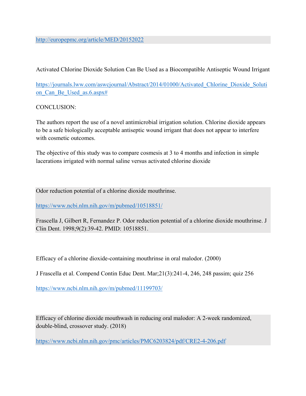### <http://europepmc.org/article/MED/20152022>

Activated Chlorine Dioxide Solution Can Be Used as a Biocompatible Antiseptic Wound Irrigant

[https://journals.lww.com/aswcjournal/Abstract/2014/01000/Activated\\_Chlorine\\_Dioxide\\_Soluti](https://journals.lww.com/aswcjournal/Abstract/2014/01000/Activated_Chlorine_Dioxide_Solution_Can_Be_Used_as.6.aspx%23) on Can Be Used as.6.aspx#

#### CONCLUSION:

The authors report the use of a novel antimicrobial irrigation solution. Chlorine dioxide appears to be a safe biologically acceptable antiseptic wound irrigant that does not appear to interfere with cosmetic outcomes.

The objective of this study was to compare cosmesis at 3 to 4 months and infection in simple lacerations irrigated with normal saline versus activated chlorine dioxide

Odor reduction potential of a chlorine dioxide mouthrinse.

<https://www.ncbi.nlm.nih.gov/m/pubmed/10518851/>

Frascella J, Gilbert R, Fernandez P. Odor reduction potential of a chlorine dioxide mouthrinse. J Clin Dent. 1998;9(2):39-42. PMID: 10518851.

Efficacy of a chlorine dioxide-containing mouthrinse in oral malodor. (2000)

J Frascella et al. Compend Contin Educ Dent. Mar;21(3):241-4, 246, 248 passim; quiz 256

<https://www.ncbi.nlm.nih.gov/m/pubmed/11199703/>

Efficacy of chlorine dioxide mouthwash in reducing oral malodor: A 2-week randomized, double-blind, crossover study. (2018)

<https://www.ncbi.nlm.nih.gov/pmc/articles/PMC6203824/pdf/CRE2-4-206.pdf>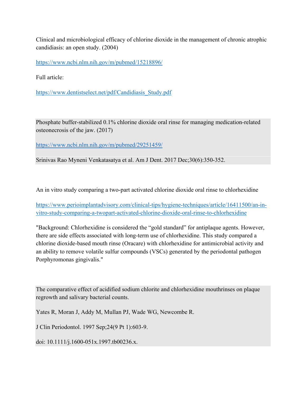Clinical and microbiological efficacy of chlorine dioxide in the management of chronic atrophic candidiasis: an open study. (2004)

<https://www.ncbi.nlm.nih.gov/m/pubmed/15218896/>

Full article:

[https://www.dentistselect.net/pdf/Candidiasis\\_Study.pdf](https://www.dentistselect.net/pdf/Candidiasis_Study.pdf)

Phosphate buffer-stabilized 0.1% chlorine dioxide oral rinse for managing medication-related osteonecrosis of the jaw. (2017)

<https://www.ncbi.nlm.nih.gov/m/pubmed/29251459/>

Srinivas Rao Myneni Venkatasatya et al. Am J Dent. 2017 Dec;30(6):350-352.

An in vitro study comparing a two-part activated chlorine dioxide oral rinse to chlorhexidine

[https://www.perioimplantadvisory.com/clinical-tips/hygiene-techniques/article/16411500/an-in](https://www.perioimplantadvisory.com/clinical-tips/hygiene-techniques/article/16411500/an-in-vitro-study-comparing-a-twopart-activated-chlorine-dioxide-oral-rinse-to-chlorhexidine)[vitro-study-comparing-a-twopart-activated-chlorine-dioxide-oral-rinse-to-chlorhexidine](https://www.perioimplantadvisory.com/clinical-tips/hygiene-techniques/article/16411500/an-in-vitro-study-comparing-a-twopart-activated-chlorine-dioxide-oral-rinse-to-chlorhexidine)

"Background: Chlorhexidine is considered the "gold standard" for antiplaque agents. However, there are side effects associated with long-term use of chlorhexidine. This study compared a chlorine dioxide-based mouth rinse (Oracare) with chlorhexidine for antimicrobial activity and an ability to remove volatile sulfur compounds (VSCs) generated by the periodontal pathogen Porphyromonas gingivalis."

The comparative effect of acidified sodium chlorite and chlorhexidine mouthrinses on plaque regrowth and salivary bacterial counts.

Yates R, Moran J, Addy M, Mullan PJ, Wade WG, Newcombe R.

J Clin Periodontol. 1997 Sep;24(9 Pt 1):603-9.

doi: 10.1111/j.1600-051x.1997.tb00236.x.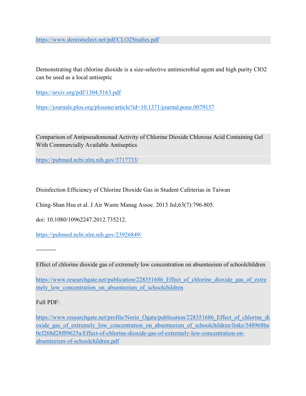<https://www.dentistselect.net/pdf/CLO2Studies.pdf>

Demonstrating that chlorine dioxide is a size-selective antimicrobial agent and high purity ClO2 can be used as a local antiseptic

<https://arxiv.org/pdf/1304.5163.pdf>

[https://journals.plos.org/plosone/article?id=10.1371/journal.pone.0079157](https://journals.plos.org/plosone/article?id=10.1371/journal.pone.0079157%20)

Comparison of Antipseudomonad Activity of Chlorine Dioxide Chlorous Acid Containing Gel With Commercially Available Antiseptics

<https://pubmed.ncbi.nlm.nih.gov/3717733/>

Disinfection Efficiency of Chlorine Dioxide Gas in Student Cafeterias in Taiwan

Ching-Shan Hsu et al. J Air Waste Manag Assoc. 2013 Jul;63(7):796-805.

doi: 10.1080/10962247.2012.735212.

<https://pubmed.ncbi.nlm.nih.gov/23926849/>

----------

Effect of chlorine dioxide gas of extremely low concentration on absenteeism of schoolchildren

https://www.researchgate.net/publication/228351686 Effect of chlorine dioxide gas of extre mely low concentration on absenteeism of schoolchildren

Full PDF:

[https://www.researchgate.net/profile/Norio\\_Ogata/publication/228351686\\_Effect\\_of\\_chlorine\\_di](https://www.researchgate.net/profile/Norio_Ogata/publication/228351686_Effect_of_chlorine_dioxide_gas_of_extremely_low_concentration_on_absenteeism_of_schoolchildren/links/548968ba0cf268d28f09625a/Effect-of-chlorine-dioxide-gas-of-extremely-low-concentration-on-absenteeism-of-schoolchildren.pdf) [oxide\\_gas\\_of\\_extremely\\_low\\_concentration\\_on\\_absenteeism\\_of\\_schoolchildren/links/548968ba](https://www.researchgate.net/profile/Norio_Ogata/publication/228351686_Effect_of_chlorine_dioxide_gas_of_extremely_low_concentration_on_absenteeism_of_schoolchildren/links/548968ba0cf268d28f09625a/Effect-of-chlorine-dioxide-gas-of-extremely-low-concentration-on-absenteeism-of-schoolchildren.pdf) [0cf268d28f09625a/Effect-of-chlorine-dioxide-gas-of-extremely-low-concentration-on](https://www.researchgate.net/profile/Norio_Ogata/publication/228351686_Effect_of_chlorine_dioxide_gas_of_extremely_low_concentration_on_absenteeism_of_schoolchildren/links/548968ba0cf268d28f09625a/Effect-of-chlorine-dioxide-gas-of-extremely-low-concentration-on-absenteeism-of-schoolchildren.pdf)[absenteeism-of-schoolchildren.pdf](https://www.researchgate.net/profile/Norio_Ogata/publication/228351686_Effect_of_chlorine_dioxide_gas_of_extremely_low_concentration_on_absenteeism_of_schoolchildren/links/548968ba0cf268d28f09625a/Effect-of-chlorine-dioxide-gas-of-extremely-low-concentration-on-absenteeism-of-schoolchildren.pdf)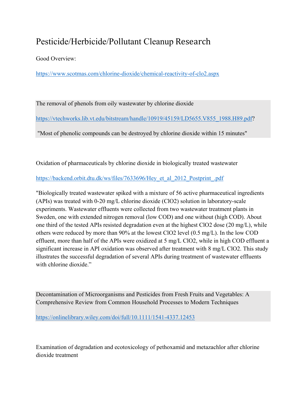## Pesticide/Herbicide/Pollutant Cleanup Research

Good Overview:

<https://www.scotmas.com/chlorine-dioxide/chemical-reactivity-of-clo2.aspx>

The removal of phenols from oily wastewater by chlorine dioxide

[https://vtechworks.lib.vt.edu/bitstream/handle/10919/45159/LD5655.V855\\_1988.H89.pdf?](https://vtechworks.lib.vt.edu/bitstream/handle/10919/45159/LD5655.V855_1988.H89.pdf)

"Most of phenolic compounds can be destroyed by chlorine dioxide within 15 minutes"

Oxidation of pharmaceuticals by chlorine dioxide in biologically treated wastewater

[https://backend.orbit.dtu.dk/ws/files/7633696/Hey\\_et\\_al\\_2012\\_Postprint\\_.pdf](https://backend.orbit.dtu.dk/ws/files/7633696/Hey_et_al_2012_Postprint_.pdf)

"Biologically treated wastewater spiked with a mixture of 56 active pharmaceutical ingredients (APIs) was treated with 0-20 mg/L chlorine dioxide (ClO2) solution in laboratory-scale experiments. Wastewater effluents were collected from two wastewater treatment plants in Sweden, one with extended nitrogen removal (low COD) and one without (high COD). About one third of the tested APIs resisted degradation even at the highest ClO2 dose (20 mg/L), while others were reduced by more than 90% at the lowest ClO2 level (0.5 mg/L). In the low COD effluent, more than half of the APIs were oxidized at 5 mg/L ClO2, while in high COD effluent a significant increase in API oxidation was observed after treatment with 8 mg/L ClO2. This study illustrates the successful degradation of several APIs during treatment of wastewater effluents with chlorine dioxide."

Decontamination of Microorganisms and Pesticides from Fresh Fruits and Vegetables: A Comprehensive Review from Common Household Processes to Modern Techniques

<https://onlinelibrary.wiley.com/doi/full/10.1111/1541-4337.12453>

Examination of degradation and ecotoxicology of pethoxamid and metazachlor after chlorine dioxide treatment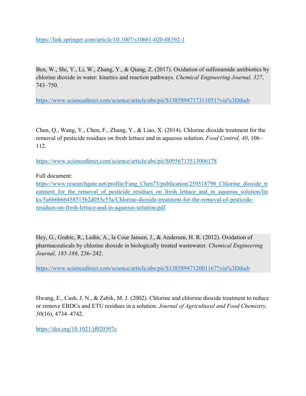<https://link.springer.com/article/10.1007/s10661-020-08392-1>

Ben, W., Shi, Y., Li, W., Zhang, Y., & Qiang, Z. (2017). Oxidation of sulfonamide antibiotics by chlorine dioxide in water: kinetics and reaction pathways. *Chemical Engineering Journal, 327*, 743–750.

[https://www.sciencedirect.com/science/article/abs/pii/S1385894717311051?via%3Dihub](https://www.sciencedirect.com/science/article/abs/pii/S1385894717311051?via%3Dihub%20)

Chen, Q., Wang, Y., Chen, F., Zhang, Y., & Liao, X. (2014). Chlorine dioxide treatment for the removal of pesticide residues on fresh lettuce and in aqueous solution. *Food Control, 40*, 106– 112.

<https://www.sciencedirect.com/science/article/abs/pii/S0956713513006178>

Full document:

[https://www.researchgate.net/profile/Fang\\_Chen73/publication/259518798\\_Chlorine\\_dioxide\\_tr](https://www.researchgate.net/profile/Fang_Chen73/publication/259518798_Chlorine_dioxide_treatment_for_the_removal_of_pesticide_residues_on_fresh_lettuce_and_in_aqueous_solution/links/5a6b6b66458515b2d055c53a/Chlorine-dioxide-treatment-for-the-removal-of-pesticide-residues-on-fresh-lettuce-and-in-aqueous-solution.pdf) eatment for the removal of pesticide residues on fresh lettuce and in aqueous solution/lin [ks/5a6b6b66458515b2d055c53a/Chlorine-dioxide-treatment-for-the-removal-of-pesticide](https://www.researchgate.net/profile/Fang_Chen73/publication/259518798_Chlorine_dioxide_treatment_for_the_removal_of_pesticide_residues_on_fresh_lettuce_and_in_aqueous_solution/links/5a6b6b66458515b2d055c53a/Chlorine-dioxide-treatment-for-the-removal-of-pesticide-residues-on-fresh-lettuce-and-in-aqueous-solution.pdf)[residues-on-fresh-lettuce-and-in-aqueous-solution.pdf](https://www.researchgate.net/profile/Fang_Chen73/publication/259518798_Chlorine_dioxide_treatment_for_the_removal_of_pesticide_residues_on_fresh_lettuce_and_in_aqueous_solution/links/5a6b6b66458515b2d055c53a/Chlorine-dioxide-treatment-for-the-removal-of-pesticide-residues-on-fresh-lettuce-and-in-aqueous-solution.pdf)

Hey, G., Grabic, R., Ledin, A., la Cour Jansen, J., & Andersen, H. R. (2012). Oxidation of pharmaceuticals by chlorine dioxide in biologically treated wastewater. *Chemical Engineering Journal, 185-186*, 236–242.

[https://www.sciencedirect.com/science/article/abs/pii/S1385894712001167?via%3Dihub](https://www.sciencedirect.com/science/article/abs/pii/S1385894712001167?via%3Dihub%20)

Hwang, E., Cash, J. N., & Zabik, M. J. (2002). Chlorine and chlorine dioxide treatment to reduce or remove EBDCs and ETU residues in a solution. *Journal of Agricultural and Food Chemistry, 50*(16), 4734–4742.

<https://doi.org/10.1021/jf020307c>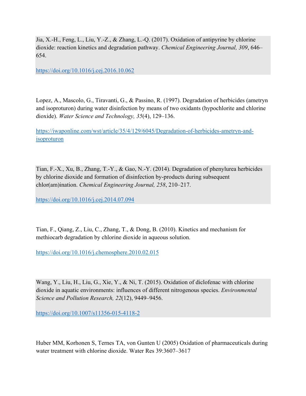Jia, X.-H., Feng, L., Liu, Y.-Z., & Zhang, L.-Q. (2017). Oxidation of antipyrine by chlorine dioxide: reaction kinetics and degradation pathway. *Chemical Engineering Journal, 309*, 646– 654.

<https://doi.org/10.1016/j.cej.2016.10.062>

Lopez, A., Mascolo, G., Tiravanti, G., & Passino, R. (1997). Degradation of herbicides (ametryn and isoproturon) during water disinfection by means of two oxidants (hypochlorite and chlorine dioxide). *Water Science and Technology, 35*(4), 129–136.

[https://iwaponline.com/wst/article/35/4/129/6045/Degradation-of-herbicides-ametryn-and](https://iwaponline.com/wst/article/35/4/129/6045/Degradation-of-herbicides-ametryn-and-isoproturon)[isoproturon](https://iwaponline.com/wst/article/35/4/129/6045/Degradation-of-herbicides-ametryn-and-isoproturon)

Tian, F.-X., Xu, B., Zhang, T.-Y., & Gao, N.-Y. (2014). Degradation of phenylurea herbicides by chlorine dioxide and formation of disinfection by-products during subsequent chlor(am)ination. *Chemical Engineering Journal, 258*, 210–217.

<https://doi.org/10.1016/j.cej.2014.07.094>

Tian, F., Qiang, Z., Liu, C., Zhang, T., & Dong, B. (2010). Kinetics and mechanism for methiocarb degradation by chlorine dioxide in aqueous solution.

<https://doi.org/10.1016/j.chemosphere.2010.02.015>

Wang, Y., Liu, H., Liu, G., Xie, Y., & Ni, T. (2015). Oxidation of diclofenac with chlorine dioxide in aquatic environments: influences of different nitrogenous species. *Environmental Science and Pollution Research, 22*(12), 9449–9456.

<https://doi.org/10.1007/s11356-015-4118-2>

Huber MM, Korhonen S, Ternes TA, von Gunten U (2005) Oxidation of pharmaceuticals during water treatment with chlorine dioxide. Water Res 39:3607–3617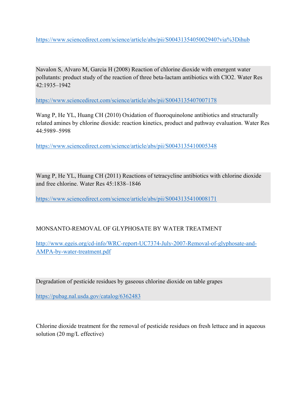[https://www.sciencedirect.com/science/article/abs/pii/S0043135405002940?via%3Dihub](https://www.sciencedirect.com/science/article/abs/pii/S0043135405002940?via%3Dihub%20)

Navalon S, Alvaro M, Garcia H (2008) Reaction of chlorine dioxide with emergent water pollutants: product study of the reaction of three beta-lactam antibiotics with ClO2. Water Res 42:1935–1942

<https://www.sciencedirect.com/science/article/abs/pii/S0043135407007178>

Wang P, He YL, Huang CH (2010) Oxidation of fluoroquinolone antibiotics and structurally related amines by chlorine dioxide: reaction kinetics, product and pathway evaluation. Water Res 44:5989–5998

<https://www.sciencedirect.com/science/article/abs/pii/S0043135410005348>

Wang P, He YL, Huang CH (2011) Reactions of tetracycline antibiotics with chlorine dioxide and free chlorine. Water Res 45:1838–1846

<https://www.sciencedirect.com/science/article/abs/pii/S0043135410008171>

### MONSANTO-REMOVAL OF GLYPHOSATE BY WATER TREATMENT

[http://www.egeis.org/cd-info/WRC-report-UC7374-July-2007-Removal-of-glyphosate-and-](http://www.egeis.org/cd-info/WRC-report-UC7374-July-2007-Removal-of-glyphosate-and-AMPA-by-water-treatment.pdf)[AMPA-by-water-treatment.pdf](http://www.egeis.org/cd-info/WRC-report-UC7374-July-2007-Removal-of-glyphosate-and-AMPA-by-water-treatment.pdf)

Degradation of pesticide residues by gaseous chlorine dioxide on table grapes

<https://pubag.nal.usda.gov/catalog/6362483>

Chlorine dioxide treatment for the removal of pesticide residues on fresh lettuce and in aqueous solution (20 mg/L effective)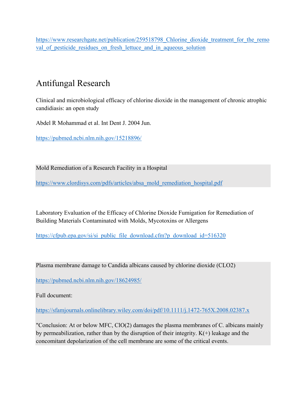https://www.researchgate.net/publication/259518798 Chlorine dioxide treatment for the remo val of pesticide residues on fresh lettuce and in aqueous solution

## Antifungal Research

Clinical and microbiological efficacy of chlorine dioxide in the management of chronic atrophic candidiasis: an open study

Abdel R Mohammad et al. Int Dent J. 2004 Jun.

<https://pubmed.ncbi.nlm.nih.gov/15218896/>

Mold Remediation of a Research Facility in a Hospital

[https://www.clordisys.com/pdfs/articles/absa\\_mold\\_remediation\\_hospital.pdf](https://www.clordisys.com/pdfs/articles/absa_mold_remediation_hospital.pdf)

Laboratory Evaluation of the Efficacy of Chlorine Dioxide Fumigation for Remediation of Building Materials Contaminated with Molds, Mycotoxins or Allergens

[https://cfpub.epa.gov/si/si\\_public\\_file\\_download.cfm?p\\_download\\_id=516320](https://cfpub.epa.gov/si/si_public_file_download.cfm?p_download_id=516320%20)

Plasma membrane damage to Candida albicans caused by chlorine dioxide (CLO2)

<https://pubmed.ncbi.nlm.nih.gov/18624985/>

Full document:

<https://sfamjournals.onlinelibrary.wiley.com/doi/pdf/10.1111/j.1472-765X.2008.02387.x>

"Conclusion: At or below MFC, ClO(2) damages the plasma membranes of C. albicans mainly by permeabilization, rather than by the disruption of their integrity.  $K(+)$  leakage and the concomitant depolarization of the cell membrane are some of the critical events.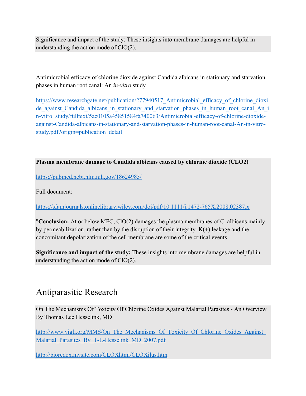Significance and impact of the study: These insights into membrane damages are helpful in understanding the action mode of ClO(2).

Antimicrobial efficacy of chlorine dioxide against Candida albicans in stationary and starvation phases in human root canal: An *in-vitro* study

https://www.researchgate.net/publication/277940517 Antimicrobial efficacy of chlorine dioxi de against Candida albicans in stationary and starvation phases in human root canal An i [n-vitro\\_study/fulltext/5ac0105a45851584fa740063/Antimicrobial-efficacy-of-chlorine-dioxide](https://www.researchgate.net/publication/277940517_Antimicrobial_efficacy_of_chlorine_dioxide_against_Candida_albicans_in_stationary_and_starvation_phases_in_human_root_canal_An_in-vitro_study/fulltext/5ac0105a45851584fa740063/Antimicrobial-efficacy-of-chlorine-dioxide-against-Candida-albicans-in-stationary-and-starvation-phases-in-human-root-canal-An-in-vitro-study.pdf?origin=publication_detail%20)[against-Candida-albicans-in-stationary-and-starvation-phases-in-human-root-canal-An-in-vitro](https://www.researchgate.net/publication/277940517_Antimicrobial_efficacy_of_chlorine_dioxide_against_Candida_albicans_in_stationary_and_starvation_phases_in_human_root_canal_An_in-vitro_study/fulltext/5ac0105a45851584fa740063/Antimicrobial-efficacy-of-chlorine-dioxide-against-Candida-albicans-in-stationary-and-starvation-phases-in-human-root-canal-An-in-vitro-study.pdf?origin=publication_detail%20)[study.pdf?origin=publication\\_detail](https://www.researchgate.net/publication/277940517_Antimicrobial_efficacy_of_chlorine_dioxide_against_Candida_albicans_in_stationary_and_starvation_phases_in_human_root_canal_An_in-vitro_study/fulltext/5ac0105a45851584fa740063/Antimicrobial-efficacy-of-chlorine-dioxide-against-Candida-albicans-in-stationary-and-starvation-phases-in-human-root-canal-An-in-vitro-study.pdf?origin=publication_detail%20)

### **Plasma membrane damage to Candida albicans caused by chlorine dioxide (CLO2)**

<https://pubmed.ncbi.nlm.nih.gov/18624985/>

Full document:

<https://sfamjournals.onlinelibrary.wiley.com/doi/pdf/10.1111/j.1472-765X.2008.02387.x>

"**Conclusion:** At or below MFC, ClO(2) damages the plasma membranes of C. albicans mainly by permeabilization, rather than by the disruption of their integrity.  $K(+)$  leakage and the concomitant depolarization of the cell membrane are some of the critical events.

**Significance and impact of the study:** These insights into membrane damages are helpful in understanding the action mode of ClO(2).

### Antiparasitic Research

On The Mechanisms Of Toxicity Of Chlorine Oxides Against Malarial Parasites - An Overview By Thomas Lee Hesselink, MD

[http://www.vigli.org/MMS/On\\_The\\_Mechanisms\\_Of\\_Toxicity\\_Of\\_Chlorine\\_Oxides\\_Against\\_](http://www.vigli.org/MMS/On_The_Mechanisms_Of_Toxicity_Of_Chlorine_Oxides_Against_Malarial_Parasites_By_T-L-Hesselink_MD_2007.pdf) Malarial Parasites By T-L-Hesselink MD 2007.pdf

<http://bioredox.mysite.com/CLOXhtml/CLOXilus.htm>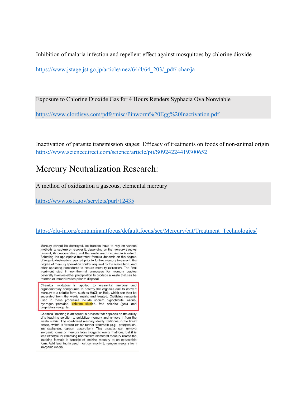Inhibition of malaria infection and repellent effect against mosquitoes by chlorine dioxide [https://www.jstage.jst.go.jp/article/mez/64/4/64\\_203/\\_pdf/-char/ja](https://www.jstage.jst.go.jp/article/mez/64/4/64_203/_pdf/-char/ja)

Exposure to Chlorine Dioxide Gas for 4 Hours Renders Syphacia Ova Nonviable

<https://www.clordisys.com/pdfs/misc/Pinworm%20Egg%20Inactivation.pdf>

Inactivation of parasite transmission stages: Efficacy of treatments on foods of non-animal origin <https://www.sciencedirect.com/science/article/pii/S0924224419300652>

### Mercury Neutralization Research:

A method of oxidization a gaseous, elemental mercury

<https://www.osti.gov/servlets/purl/12435>

### [https://clu-in.org/contaminantfocus/default.focus/sec/Mercury/cat/Treatment\\_Technologies/](https://clu-in.org/contaminantfocus/default.focus/sec/Mercury/cat/Treatment_Technologies/)

Mercury cannot be destroyed, so treaters have to rely on various methods to capture or recover it, depending on the mercury species present, its concentration, and the waste matrix or media involved. Selecting the appropriate treatment formula depends on the degree of organic destruction required prior to further mercury treatment, the degree of mercury speciation control required by the waste form, and other operating procedures to ensure mercury extraction. The final treatment step in non-thermal processes for mercury wastes generally involves either precipitation to produce a waste that can be retorted or immobilization prior to disposal.

Chemical oxidation is applied to elemental mercury and organomercury compounds to destroy the organics and to convert mercury to a soluble form, such as HgCl<sub>2</sub> or Hgl<sub>2</sub>, which can then be separated from the waste matrix and treated. Oxidizing reagents used in these processes include sodium hypochlorite, ozone, hydrogen peroxide, chlorine dioxide, free chlorine (gas), and proprietary reagents.

Chemical leaching is an aqueous process that depends on the ability of a leaching solution to solubilize mercury and remove it from the waste matrix. The solubilized mercury ideally partitions to the liquid phase, which is filtered off for further treatment (e.g., precipitation, ion exchange, carbon adsorption). This process can remove inorganic forms of mercury from inorganic waste matrices, but it is less effective for removing nonreactive elemental mercury unless the leaching formula is capable of ionizing mercury to an extractable form. Acid leaching is used most commonly to remove mercury from inorganic media.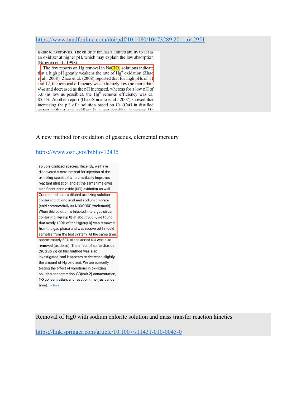#### <https://www.tandfonline.com/doi/pdf/10.1080/10473289.2011.642951>

is que to nydrolysis. I ne chlorite ion has a limited ability to act as an oxidizer at higher pH, which may explain the low absorption (Brogren et al., 1998).

The few reports on Hg removal in NaClO<sub>2</sub> solutions indicate  $t\bar{t}$  at a high pH greatly weakens the rate of  $Hg^0$  oxidation (Zhao et al., 2008). Zhao et al. (2008) reported that for high pHs of 11 and 12, the removal efficiency was extremely low (no more than 4%) and decreased as the pH increased, whereas for a low pH of 3.0 (as low as possible), the  $Hg<sup>0</sup>$  removal efficiency was ca. 85.5%. Another report (Diaz-Somano et al., 2007) showed that increasing the pH of a solution based on Ca (CaO in distilled water) without any ovidizer in a west complher increases Ha

#### A new method for oxidation of gaseous, elemental mercury

#### <https://www.osti.gov/biblio/12435>

soluble oxidized species. Recently, we have discovered a new method for injection of the oxidizing species that dramatically improves reactant utilization and at the same time gives significant nitric oxide (NO) oxidation as well. Our method uses a diluted oxidizing solution containing chloric acid and sodium chlorate (sold commercially as NOXSORB{trademark}). When this solution is injected into a gas stream containing Hg{sup 0} at about 300 F, we found that nearly 100% of the Hg(sup 0) was removed from the gas phase and was recovered in liquid samples from the test system. At the same time, approximately 80% of the added NO was also removed (oxidized). The effect of sulfur dioxide (SO{sub 2)) on this method was also investigated, and it appears to decrease slightly the amount of Hg oxidized. We are currently testing the effect of variations in oxidizing solution concentration, SO{sub 2} concentration, NO concentration, and reaction time (residence time). « less

Removal of Hg0 with sodium chlorite solution and mass transfer reaction kinetics

<https://link.springer.com/article/10.1007/s11431-010-0045-0>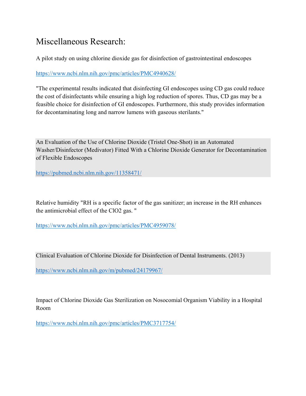## Miscellaneous Research:

A pilot study on using chlorine dioxide gas for disinfection of gastrointestinal endoscopes

<https://www.ncbi.nlm.nih.gov/pmc/articles/PMC4940628/>

"The experimental results indicated that disinfecting GI endoscopes using CD gas could reduce the cost of disinfectants while ensuring a high log reduction of spores. Thus, CD gas may be a feasible choice for disinfection of GI endoscopes. Furthermore, this study provides information for decontaminating long and narrow lumens with gaseous sterilants."

An Evaluation of the Use of Chlorine Dioxide (Tristel One-Shot) in an Automated Washer/Disinfector (Medivator) Fitted With a Chlorine Dioxide Generator for Decontamination of Flexible Endoscopes

<https://pubmed.ncbi.nlm.nih.gov/11358471/>

Relative humidity "RH is a specific factor of the gas sanitizer; an increase in the RH enhances the antimicrobial effect of the ClO2 gas. "

<https://www.ncbi.nlm.nih.gov/pmc/articles/PMC4959078/>

Clinical Evaluation of Chlorine Dioxide for Disinfection of Dental Instruments. (2013)

<https://www.ncbi.nlm.nih.gov/m/pubmed/24179967/>

Impact of Chlorine Dioxide Gas Sterilization on Nosocomial Organism Viability in a Hospital Room

<https://www.ncbi.nlm.nih.gov/pmc/articles/PMC3717754/>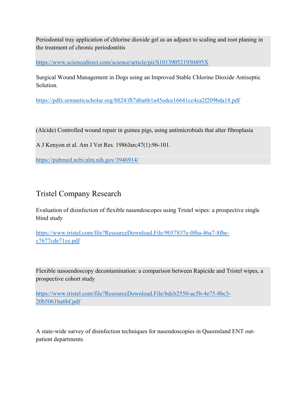Periodontal tray application of chlorine dioxide gel as an adjunct to scaling and root planing in the treatment of chronic periodontitis

<https://www.sciencedirect.com/science/article/pii/S101390521930495X>

Surgical Wound Management in Dogs using an Improved Stable Chlorine Dioxide Antiseptic Solution.

<https://pdfs.semanticscholar.org/8824/f87d6a6b1a45edce16641cc4ca2f209bda18.pdf>

(Alcide) Controlled wound repair in guinea pigs, using antimicrobials that alter fibroplasia

A J Kenyon et al. Am J Vet Res. 1986Jan;47(1):96-101.

<https://pubmed.ncbi.nlm.nih.gov/3946914/>

### Tristel Company Research

Evaluation of disinfection of flexible nasendoscopes using Tristel wipes: a prospective single blind study

[https://www.tristel.com/file?ResourceDownload.File/9057837e-0f6a-46a7-8fbe](https://www.tristel.com/file?ResourceDownload.File/9057837e-0f6a-46a7-8fbe-c7677cde71ce.pdf%20)[c7677cde71ce.pdf](https://www.tristel.com/file?ResourceDownload.File/9057837e-0f6a-46a7-8fbe-c7677cde71ce.pdf%20)

Flexible nasoendoscopy decontamination: a comparison between Rapicide and Tristel wipes, a prospective cohort study

[https://www.tristel.com/file?ResourceDownload.File/bdcb2550-ac5b-4e75-8bc3-](https://www.tristel.com/file?ResourceDownload.File/bdcb2550-ac5b-4e75-8bc3-20b5061ba6bf.pdf%20) [20b5061ba6bf.pdf](https://www.tristel.com/file?ResourceDownload.File/bdcb2550-ac5b-4e75-8bc3-20b5061ba6bf.pdf%20)

A state-wide survey of disinfection techniques for nasendoscopies in Queensland ENT outpatient departments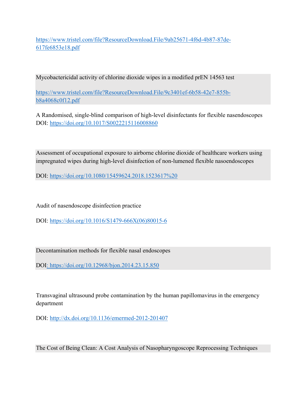[https://www.tristel.com/file?ResourceDownload.File/9ab25671-4f6d-4b87-87de-](https://www.tristel.com/file?ResourceDownload.File/9ab25671-4f6d-4b87-87de-617fe6853e18.pdf%20)[617fe6853e18.pdf](https://www.tristel.com/file?ResourceDownload.File/9ab25671-4f6d-4b87-87de-617fe6853e18.pdf%20)

Mycobactericidal activity of chlorine dioxide wipes in a modified prEN 14563 test

[https://www.tristel.com/file?ResourceDownload.File/9c3401ef-6b58-42e7-855b](https://www.tristel.com/file?ResourceDownload.File/9c3401ef-6b58-42e7-855b-b8a4068c0f12.pdf%20)[b8a4068c0f12.pdf](https://www.tristel.com/file?ResourceDownload.File/9c3401ef-6b58-42e7-855b-b8a4068c0f12.pdf%20)

A Randomised, single-blind comparison of high-level disinfectants for flexible nasendoscopes DOI:<https://doi.org/10.1017/S0022215116008860>

Assessment of occupational exposure to airborne chlorine dioxide of healthcare workers using impregnated wipes during high-level disinfection of non-lumened flexible nasoendoscopes

DOI: [https://doi.org/10.1080/15459624.2018.1523617%20](https://doi.org/10.1080/15459624.2018.1523617)

Audit of nasendoscope disinfection practice

DOI: [https://doi.org/10.1016/S1479-666X\(06\)80015-6](https://doi.org/10.1016/S1479-666X(06)80015-6)

Decontamination methods for flexible nasal endoscopes

DOI: https://doi.org/10.12968/bjon.2014.23.15.850

Transvaginal ultrasound probe contamination by the human papillomavirus in the emergency department

DOI:<http://dx.doi.org/10.1136/emermed-2012-201407>

The Cost of Being Clean: A Cost Analysis of Nasopharyngoscope Reprocessing Techniques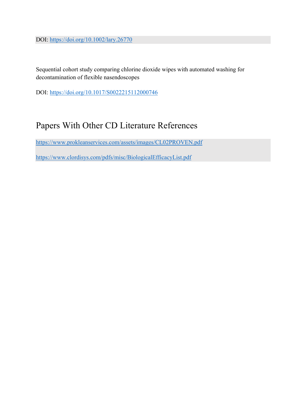DOI:<https://doi.org/10.1002/lary.26770>

Sequential cohort study comparing chlorine dioxide wipes with automated washing for decontamination of flexible nasendoscopes

DOI:<https://doi.org/10.1017/S0022215112000746>

## Papers With Other CD Literature References

<https://www.prokleanservices.com/assets/images/CL02PROVEN.pdf>

<https://www.clordisys.com/pdfs/misc/BiologicalEfficacyList.pdf>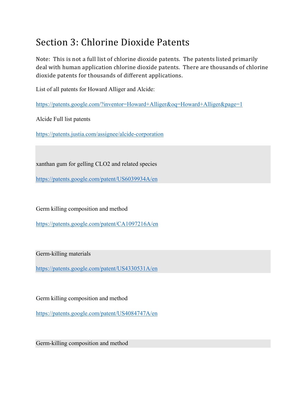# Section 3: Chlorine Dioxide Patents

Note: This is not a full list of chlorine dioxide patents. The patents listed primarily deal with human application chlorine dioxide patents. There are thousands of chlorine dioxide patents for thousands of different applications.

List of all patents for Howard Alliger and Alcide:

[https://patents.google.com/?inventor=Howard+Alliger&oq=Howard+Alliger&page=1](https://patents.google.com/?inventor=Howard+Alliger&oq=Howard+Alliger&page=1%20)

Alcide Full list patents

<https://patents.justia.com/assignee/alcide-corporation>

xanthan gum for gelling CLO2 and related species

<https://patents.google.com/patent/US6039934A/en>

Germ killing composition and method

<https://patents.google.com/patent/CA1097216A/en>

Germ-killing materials

<https://patents.google.com/patent/US4330531A/en>

Germ killing composition and method

<https://patents.google.com/patent/US4084747A/en>

Germ-killing composition and method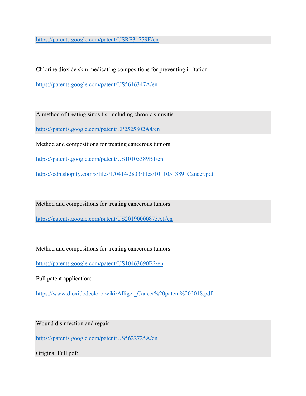<https://patents.google.com/patent/USRE31779E/en>

Chlorine dioxide skin medicating compositions for preventing irritation

<https://patents.google.com/patent/US5616347A/en>

A method of treating sinusitis, including chronic sinusitis

<https://patents.google.com/patent/EP2525802A4/en>

Method and compositions for treating cancerous tumors

<https://patents.google.com/patent/US10105389B1/en>

[https://cdn.shopify.com/s/files/1/0414/2833/files/10\\_105\\_389\\_Cancer.pdf](https://cdn.shopify.com/s/files/1/0414/2833/files/10_105_389_Cancer.pdf)

Method and compositions for treating cancerous tumors

<https://patents.google.com/patent/US20190000875A1/en>

Method and compositions for treating cancerous tumors

<https://patents.google.com/patent/US10463690B2/en>

Full patent application:

[https://www.dioxidodecloro.wiki/Alliger\\_Cancer%20patent%202018.pdf](https://www.dioxidodecloro.wiki/Alliger_Cancer%20patent%202018.pdf)

Wound disinfection and repair

<https://patents.google.com/patent/US5622725A/en>

Original Full pdf: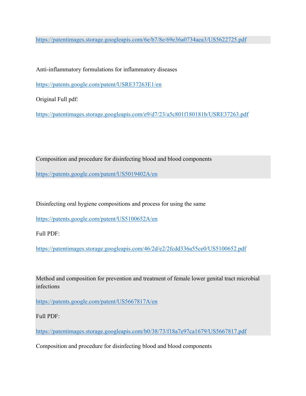<https://patentimages.storage.googleapis.com/6e/b7/8e/69e36a0734aea3/US5622725.pdf>

Anti-inflammatory formulations for inflammatory diseases

<https://patents.google.com/patent/USRE37263E1/en>

Original Full pdf:

<https://patentimages.storage.googleapis.com/e9/d7/23/a5c801f180181b/USRE37263.pdf>

Composition and procedure for disinfecting blood and blood components

<https://patents.google.com/patent/US5019402A/en>

Disinfecting oral hygiene compositions and process for using the same

<https://patents.google.com/patent/US5100652A/en>

Full PDF:

<https://patentimages.storage.googleapis.com/46/2d/e2/2fcdd336a55ce0/US5100652.pdf>

Method and composition for prevention and treatment of female lower genital tract microbial infections

<https://patents.google.com/patent/US5667817A/en>

Full PDF:

<https://patentimages.storage.googleapis.com/b0/38/73/f18a7e97ca1679/US5667817.pdf>

Composition and procedure for disinfecting blood and blood components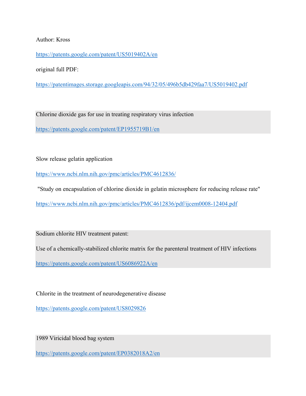#### Author: Kross

<https://patents.google.com/patent/US5019402A/en>

original full PDF:

<https://patentimages.storage.googleapis.com/94/32/05/496b5db429faa7/US5019402.pdf>

Chlorine dioxide gas for use in treating respiratory virus infection

<https://patents.google.com/patent/EP1955719B1/en>

Slow release gelatin application

<https://www.ncbi.nlm.nih.gov/pmc/articles/PMC4612836/>

"Study on encapsulation of chlorine dioxide in gelatin microsphere for reducing release rate"

<https://www.ncbi.nlm.nih.gov/pmc/articles/PMC4612836/pdf/ijcem0008-12404.pdf>

Sodium chlorite HIV treatment patent:

Use of a chemically-stabilized chlorite matrix for the parenteral treatment of HIV infections

<https://patents.google.com/patent/US6086922A/en>

Chlorite in the treatment of neurodegenerative disease

<https://patents.google.com/patent/US8029826>

1989 Viricidal blood bag system

<https://patents.google.com/patent/EP0382018A2/en>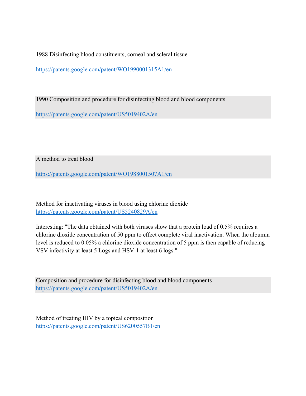1988 Disinfecting blood constituents, corneal and scleral tissue

<https://patents.google.com/patent/WO1990001315A1/en>

1990 Composition and procedure for disinfecting blood and blood components

<https://patents.google.com/patent/US5019402A/en>

A method to treat blood

<https://patents.google.com/patent/WO1988001507A1/en>

Method for inactivating viruses in blood using chlorine dioxide <https://patents.google.com/patent/US5240829A/en>

Interesting: "The data obtained with both viruses show that a protein load of 0.5% requires a chlorine dioxide concentration of 50 ppm to effect complete viral inactivation. When the albumin level is reduced to 0.05% a chlorine dioxide concentration of 5 ppm is then capable of reducing VSV infectivity at least 5 Logs and HSV-1 at least 6 logs."

Composition and procedure for disinfecting blood and blood components <https://patents.google.com/patent/US5019402A/en>

Method of treating HIV by a topical composition <https://patents.google.com/patent/US6200557B1/en>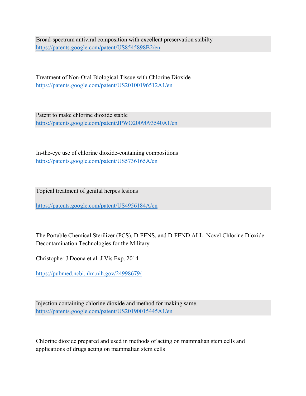Broad-spectrum antiviral composition with excellent preservation stabilty <https://patents.google.com/patent/US8545898B2/en>

Treatment of Non-Oral Biological Tissue with Chlorine Dioxide <https://patents.google.com/patent/US20100196512A1/en>

Patent to make chlorine dioxide stable <https://patents.google.com/patent/JPWO2009093540A1/en>

In-the-eye use of chlorine dioxide-containing compositions <https://patents.google.com/patent/US5736165A/en>

Topical treatment of genital herpes lesions

<https://patents.google.com/patent/US4956184A/en>

The Portable Chemical Sterilizer (PCS), D-FENS, and D-FEND ALL: Novel Chlorine Dioxide Decontamination Technologies for the Military

Christopher J Doona et al. J Vis Exp. 2014

<https://pubmed.ncbi.nlm.nih.gov/24998679/>

Injection containing chlorine dioxide and method for making same. <https://patents.google.com/patent/US20190015445A1/en>

Chlorine dioxide prepared and used in methods of acting on mammalian stem cells and applications of drugs acting on mammalian stem cells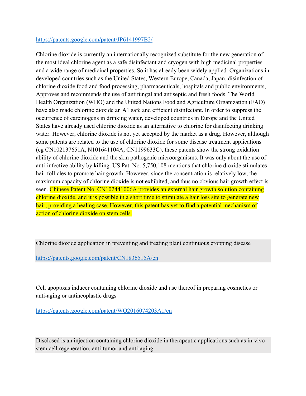#### <https://patents.google.com/patent/JP6141997B2/>

Chlorine dioxide is currently an internationally recognized substitute for the new generation of the most ideal chlorine agent as a safe disinfectant and cryogen with high medicinal properties and a wide range of medicinal properties. So it has already been widely applied. Organizations in developed countries such as the United States, Western Europe, Canada, Japan, disinfection of chlorine dioxide food and food processing, pharmaceuticals, hospitals and public environments, Approves and recommends the use of antifungal and antiseptic and fresh foods. The World Health Organization (WHO) and the United Nations Food and Agriculture Organization (FAO) have also made chlorine dioxide an A1 safe and efficient disinfectant. In order to suppress the occurrence of carcinogens in drinking water, developed countries in Europe and the United States have already used chlorine dioxide as an alternative to chlorine for disinfecting drinking water. However, chlorine dioxide is not yet accepted by the market as a drug. However, although some patents are related to the use of chlorine dioxide for some disease treatment applications (eg CN102137651A, N101641104A, CN1199633C), these patents show the strong oxidation ability of chlorine dioxide and the skin pathogenic microorganisms. It was only about the use of anti-infective ability by killing. US Pat. No. 5,750,108 mentions that chlorine dioxide stimulates hair follicles to promote hair growth. However, since the concentration is relatively low, the maximum capacity of chlorine dioxide is not exhibited, and thus no obvious hair growth effect is seen. Chinese Patent No. CN102441006A provides an external hair growth solution containing chlorine dioxide, and it is possible in a short time to stimulate a hair loss site to generate new hair, providing a healing case. However, this patent has yet to find a potential mechanism of action of chlorine dioxide on stem cells.

Chlorine dioxide application in preventing and treating plant continuous cropping disease

<https://patents.google.com/patent/CN1836515A/en>

Cell apoptosis inducer containing chlorine dioxide and use thereof in preparing cosmetics or anti-aging or antineoplastic drugs

<https://patents.google.com/patent/WO2016074203A1/en>

Disclosed is an injection containing chlorine dioxide in therapeutic applications such as in-vivo stem cell regeneration, anti-tumor and anti-aging.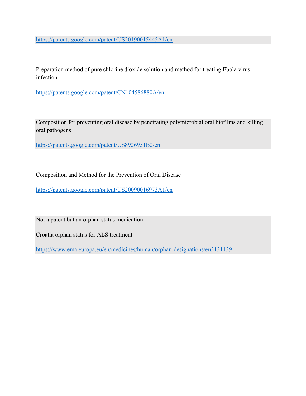<https://patents.google.com/patent/US20190015445A1/en>

Preparation method of pure chlorine dioxide solution and method for treating Ebola virus infection

<https://patents.google.com/patent/CN104586880A/en>

Composition for preventing oral disease by penetrating polymicrobial oral biofilms and killing oral pathogens

<https://patents.google.com/patent/US8926951B2/en>

Composition and Method for the Prevention of Oral Disease

<https://patents.google.com/patent/US20090016973A1/en>

Not a patent but an orphan status medication:

Croatia orphan status for ALS treatment

<https://www.ema.europa.eu/en/medicines/human/orphan-designations/eu3131139>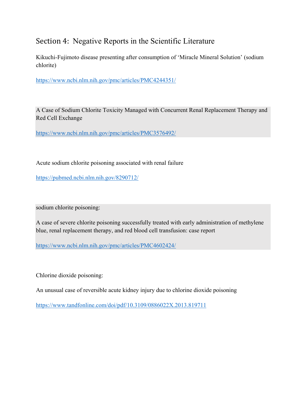## Section 4: Negative Reports in the Scientific Literature

Kikuchi-Fujimoto disease presenting after consumption of 'Miracle Mineral Solution' (sodium chlorite)

<https://www.ncbi.nlm.nih.gov/pmc/articles/PMC4244351/>

A Case of Sodium Chlorite Toxicity Managed with Concurrent Renal Replacement Therapy and Red Cell Exchange

<https://www.ncbi.nlm.nih.gov/pmc/articles/PMC3576492/>

Acute sodium chlorite poisoning associated with renal failure

<https://pubmed.ncbi.nlm.nih.gov/8290712/>

sodium chlorite poisoning:

A case of severe chlorite poisoning successfully treated with early administration of methylene blue, renal replacement therapy, and red blood cell transfusion: case report

<https://www.ncbi.nlm.nih.gov/pmc/articles/PMC4602424/>

Chlorine dioxide poisoning:

An unusual case of reversible acute kidney injury due to chlorine dioxide poisoning

<https://www.tandfonline.com/doi/pdf/10.3109/0886022X.2013.819711>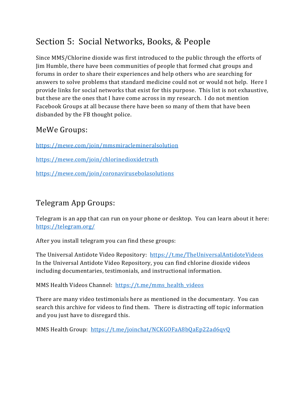# Section 5: Social Networks, Books, & People

Since MMS/Chlorine dioxide was first introduced to the public through the efforts of Jim Humble, there have been communities of people that formed chat groups and forums in order to share their experiences and help others who are searching for answers to solve problems that standard medicine could not or would not help. Here I provide links for social networks that exist for this purpose. This list is not exhaustive, but these are the ones that I have come across in my research. I do not mention Facebook Groups at all because there have been so many of them that have been disbanded by the FB thought police.

## MeWe Groups:

<https://mewe.com/join/mmsmiraclemineralsolution> <https://mewe.com/join/chlorinedioxidetruth> <https://mewe.com/join/coronavirusebolasolutions>

## Telegram App Groups:

Telegram is an app that can run on your phone or desktop. You can learn about it here: <https://telegram.org/>

After you install telegram you can find these groups:

The Universal Antidote Video Repository: <https://t.me/TheUniversalAntidoteVideos> In the Universal Antidote Video Repository, you can find chlorine dioxide videos including documentaries, testimonials, and instructional information.

MMS Health Videos Channel: [https://t.me/mms\\_health\\_videos](https://t.me/mms_health_videos)

There are many video testimonials here as mentioned in the documentary. You can search this archive for videos to find them. There is distracting off topic information and you just have to disregard this.

MMS Health Group: <https://t.me/joinchat/NCKGOFaA8bQaEp22ad6qvQ>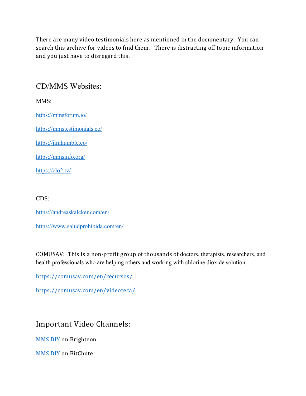There are many video testimonials here as mentioned in the documentary. You can search this archive for videos to find them. There is distracting off topic information and you just have to disregard this.

#### CD/MMS Websites:

MMS:

<https://mmsforum.io/>

<https://mmstestimonials.co/>

<https://jimhumble.co/>

<https://mmsinfo.org/>

<https://clo2.tv/>

CDS:

<https://andreaskalcker.com/en/>

<https://www.saludprohibida.com/en/>

COMUSAV: This is a non-profit group of thousands of doctors, therapists, researchers, and health professionals who are helping others and working with chlorine dioxide solution.

<https://comusav.com/en/recursos/>

<https://comusav.com/en/videoteca/>

## Important Video Channels:

[MMS DIY](https://www.brighteon.com/channels/bhstone7) on Brighteon

[MMS](https://www.bitchute.com/channel/KWS38tosUq7L/) DIY on BitChute